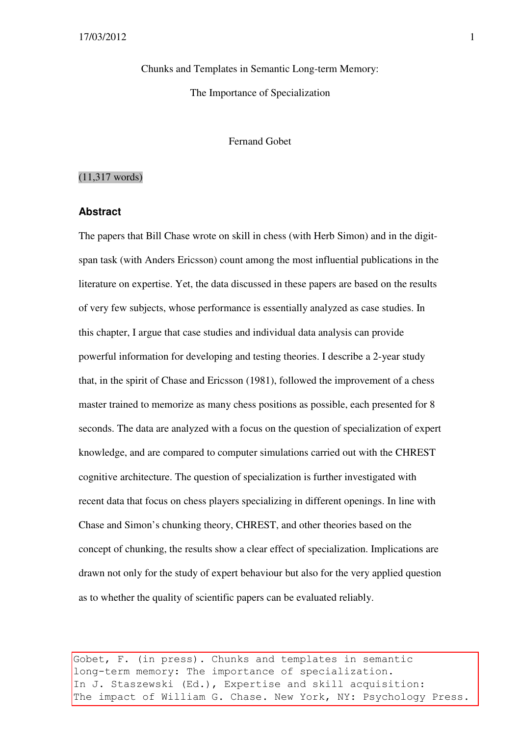Chunks and Templates in Semantic Long-term Memory: The Importance of Specialization

Fernand Gobet

#### (11,317 words)

#### **Abstract**

The papers that Bill Chase wrote on skill in chess (with Herb Simon) and in the digitspan task (with Anders Ericsson) count among the most influential publications in the literature on expertise. Yet, the data discussed in these papers are based on the results of very few subjects, whose performance is essentially analyzed as case studies. In this chapter, I argue that case studies and individual data analysis can provide powerful information for developing and testing theories. I describe a 2-year study that, in the spirit of Chase and Ericsson (1981), followed the improvement of a chess master trained to memorize as many chess positions as possible, each presented for 8 seconds. The data are analyzed with a focus on the question of specialization of expert knowledge, and are compared to computer simulations carried out with the CHREST cognitive architecture. The question of specialization is further investigated with recent data that focus on chess players specializing in different openings. In line with Chase and Simon's chunking theory, CHREST, and other theories based on the concept of chunking, the results show a clear effect of specialization. Implications are drawn not only for the study of expert behaviour but also for the very applied question as to whether the quality of scientific papers can be evaluated reliably.

Gobet, F. (in press). Chunks and templates in semantic long-term memory: The importance of specialization. In J. Staszewski (Ed.), Expertise and skill acquisition: The impact of William G. Chase. New York, NY: Psychology Press.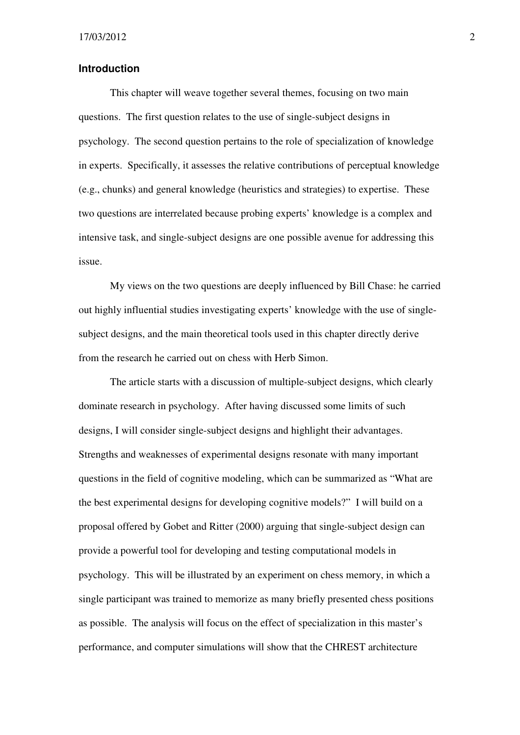#### **Introduction**

This chapter will weave together several themes, focusing on two main questions. The first question relates to the use of single-subject designs in psychology. The second question pertains to the role of specialization of knowledge in experts. Specifically, it assesses the relative contributions of perceptual knowledge (e.g., chunks) and general knowledge (heuristics and strategies) to expertise. These two questions are interrelated because probing experts' knowledge is a complex and intensive task, and single-subject designs are one possible avenue for addressing this issue.

My views on the two questions are deeply influenced by Bill Chase: he carried out highly influential studies investigating experts' knowledge with the use of singlesubject designs, and the main theoretical tools used in this chapter directly derive from the research he carried out on chess with Herb Simon.

The article starts with a discussion of multiple-subject designs, which clearly dominate research in psychology. After having discussed some limits of such designs, I will consider single-subject designs and highlight their advantages. Strengths and weaknesses of experimental designs resonate with many important questions in the field of cognitive modeling, which can be summarized as "What are the best experimental designs for developing cognitive models?" I will build on a proposal offered by Gobet and Ritter (2000) arguing that single-subject design can provide a powerful tool for developing and testing computational models in psychology. This will be illustrated by an experiment on chess memory, in which a single participant was trained to memorize as many briefly presented chess positions as possible. The analysis will focus on the effect of specialization in this master's performance, and computer simulations will show that the CHREST architecture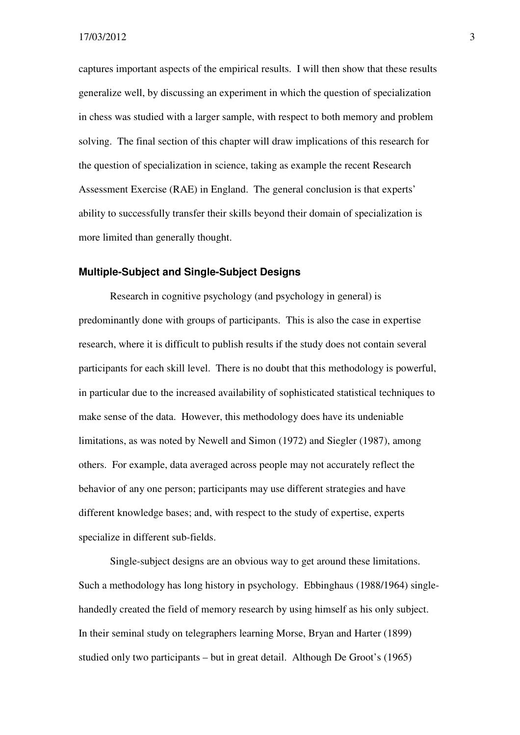captures important aspects of the empirical results. I will then show that these results generalize well, by discussing an experiment in which the question of specialization in chess was studied with a larger sample, with respect to both memory and problem solving. The final section of this chapter will draw implications of this research for the question of specialization in science, taking as example the recent Research Assessment Exercise (RAE) in England. The general conclusion is that experts' ability to successfully transfer their skills beyond their domain of specialization is more limited than generally thought.

#### **Multiple-Subject and Single-Subject Designs**

Research in cognitive psychology (and psychology in general) is predominantly done with groups of participants. This is also the case in expertise research, where it is difficult to publish results if the study does not contain several participants for each skill level. There is no doubt that this methodology is powerful, in particular due to the increased availability of sophisticated statistical techniques to make sense of the data. However, this methodology does have its undeniable limitations, as was noted by Newell and Simon (1972) and Siegler (1987), among others. For example, data averaged across people may not accurately reflect the behavior of any one person; participants may use different strategies and have different knowledge bases; and, with respect to the study of expertise, experts specialize in different sub-fields.

Single-subject designs are an obvious way to get around these limitations. Such a methodology has long history in psychology. Ebbinghaus (1988/1964) singlehandedly created the field of memory research by using himself as his only subject. In their seminal study on telegraphers learning Morse, Bryan and Harter (1899) studied only two participants – but in great detail. Although De Groot's (1965)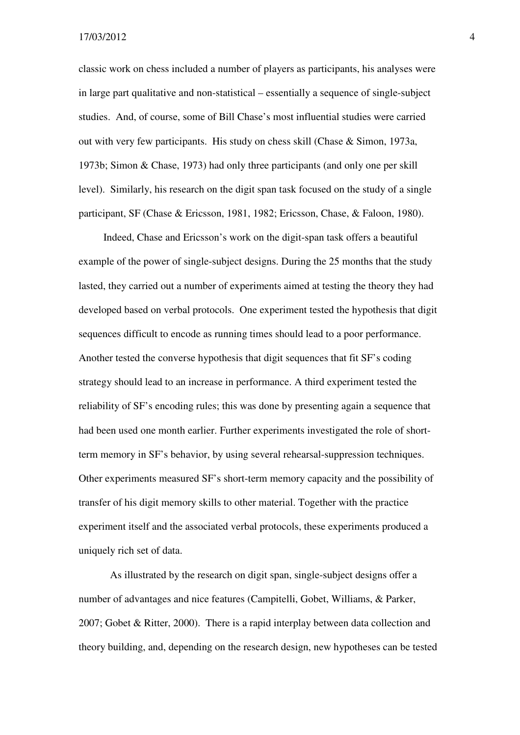classic work on chess included a number of players as participants, his analyses were in large part qualitative and non-statistical – essentially a sequence of single-subject studies. And, of course, some of Bill Chase's most influential studies were carried out with very few participants. His study on chess skill (Chase & Simon, 1973a, 1973b; Simon & Chase, 1973) had only three participants (and only one per skill level). Similarly, his research on the digit span task focused on the study of a single participant, SF (Chase & Ericsson, 1981, 1982; Ericsson, Chase, & Faloon, 1980).

Indeed, Chase and Ericsson's work on the digit-span task offers a beautiful example of the power of single-subject designs. During the 25 months that the study lasted, they carried out a number of experiments aimed at testing the theory they had developed based on verbal protocols. One experiment tested the hypothesis that digit sequences difficult to encode as running times should lead to a poor performance. Another tested the converse hypothesis that digit sequences that fit SF's coding strategy should lead to an increase in performance. A third experiment tested the reliability of SF's encoding rules; this was done by presenting again a sequence that had been used one month earlier. Further experiments investigated the role of shortterm memory in SF's behavior, by using several rehearsal-suppression techniques. Other experiments measured SF's short-term memory capacity and the possibility of transfer of his digit memory skills to other material. Together with the practice experiment itself and the associated verbal protocols, these experiments produced a uniquely rich set of data.

As illustrated by the research on digit span, single-subject designs offer a number of advantages and nice features (Campitelli, Gobet, Williams, & Parker, 2007; Gobet & Ritter, 2000). There is a rapid interplay between data collection and theory building, and, depending on the research design, new hypotheses can be tested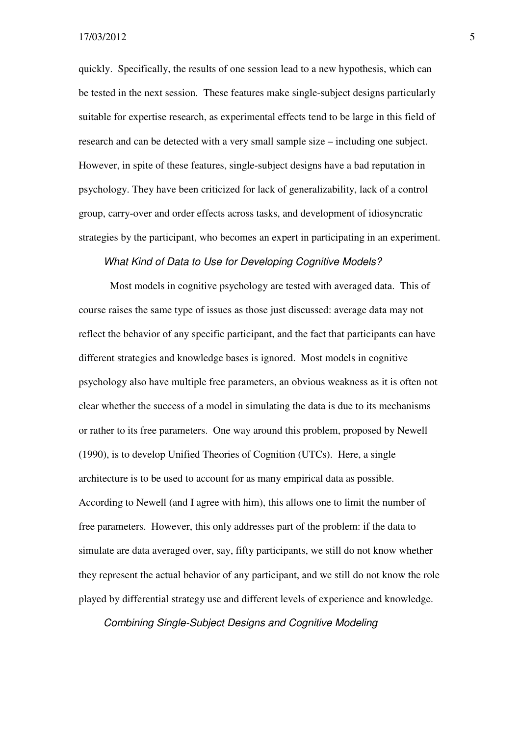quickly. Specifically, the results of one session lead to a new hypothesis, which can be tested in the next session. These features make single-subject designs particularly suitable for expertise research, as experimental effects tend to be large in this field of research and can be detected with a very small sample size – including one subject. However, in spite of these features, single-subject designs have a bad reputation in psychology. They have been criticized for lack of generalizability, lack of a control group, carry-over and order effects across tasks, and development of idiosyncratic strategies by the participant, who becomes an expert in participating in an experiment.

#### What Kind of Data to Use for Developing Cognitive Models?

Most models in cognitive psychology are tested with averaged data. This of course raises the same type of issues as those just discussed: average data may not reflect the behavior of any specific participant, and the fact that participants can have different strategies and knowledge bases is ignored. Most models in cognitive psychology also have multiple free parameters, an obvious weakness as it is often not clear whether the success of a model in simulating the data is due to its mechanisms or rather to its free parameters. One way around this problem, proposed by Newell (1990), is to develop Unified Theories of Cognition (UTCs). Here, a single architecture is to be used to account for as many empirical data as possible. According to Newell (and I agree with him), this allows one to limit the number of free parameters. However, this only addresses part of the problem: if the data to simulate are data averaged over, say, fifty participants, we still do not know whether they represent the actual behavior of any participant, and we still do not know the role played by differential strategy use and different levels of experience and knowledge.

Combining Single-Subject Designs and Cognitive Modeling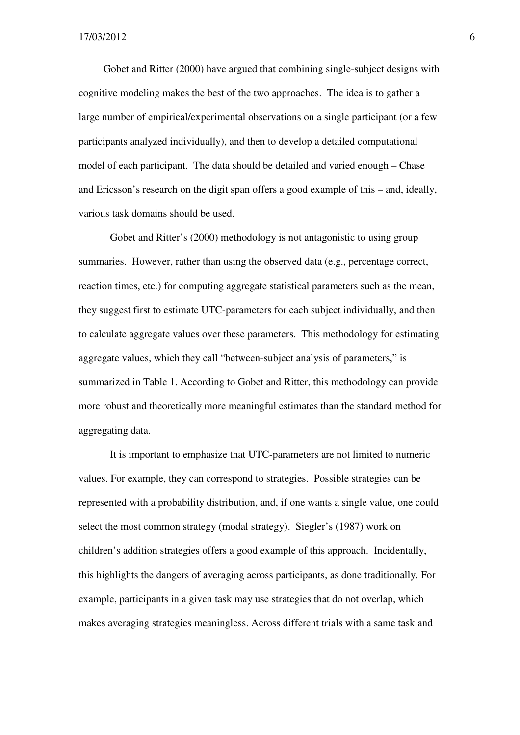Gobet and Ritter (2000) have argued that combining single-subject designs with cognitive modeling makes the best of the two approaches. The idea is to gather a large number of empirical/experimental observations on a single participant (or a few participants analyzed individually), and then to develop a detailed computational model of each participant. The data should be detailed and varied enough – Chase and Ericsson's research on the digit span offers a good example of this – and, ideally, various task domains should be used.

Gobet and Ritter's (2000) methodology is not antagonistic to using group summaries. However, rather than using the observed data (e.g., percentage correct, reaction times, etc.) for computing aggregate statistical parameters such as the mean, they suggest first to estimate UTC-parameters for each subject individually, and then to calculate aggregate values over these parameters. This methodology for estimating aggregate values, which they call "between-subject analysis of parameters," is summarized in Table 1. According to Gobet and Ritter, this methodology can provide more robust and theoretically more meaningful estimates than the standard method for aggregating data.

It is important to emphasize that UTC-parameters are not limited to numeric values. For example, they can correspond to strategies. Possible strategies can be represented with a probability distribution, and, if one wants a single value, one could select the most common strategy (modal strategy). Siegler's (1987) work on children's addition strategies offers a good example of this approach. Incidentally, this highlights the dangers of averaging across participants, as done traditionally. For example, participants in a given task may use strategies that do not overlap, which makes averaging strategies meaningless. Across different trials with a same task and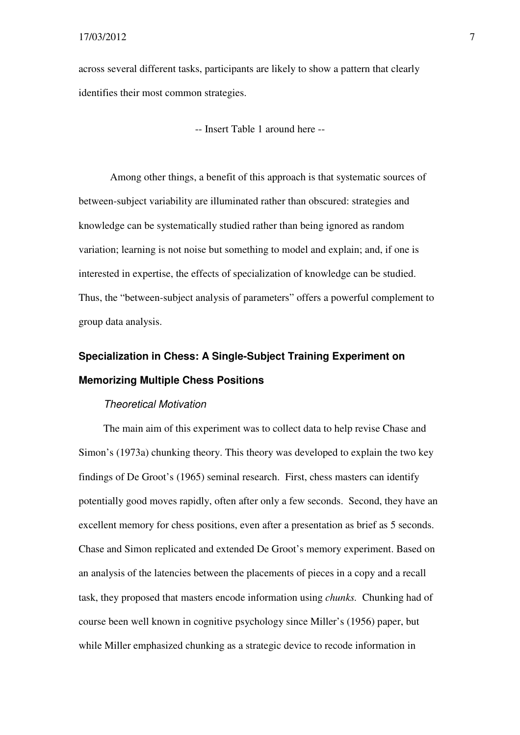across several different tasks, participants are likely to show a pattern that clearly identifies their most common strategies.

-- Insert Table 1 around here --

Among other things, a benefit of this approach is that systematic sources of between-subject variability are illuminated rather than obscured: strategies and knowledge can be systematically studied rather than being ignored as random variation; learning is not noise but something to model and explain; and, if one is interested in expertise, the effects of specialization of knowledge can be studied. Thus, the "between-subject analysis of parameters" offers a powerful complement to group data analysis.

## **Specialization in Chess: A Single-Subject Training Experiment on Memorizing Multiple Chess Positions**

#### Theoretical Motivation

The main aim of this experiment was to collect data to help revise Chase and Simon's (1973a) chunking theory. This theory was developed to explain the two key findings of De Groot's (1965) seminal research. First, chess masters can identify potentially good moves rapidly, often after only a few seconds. Second, they have an excellent memory for chess positions, even after a presentation as brief as 5 seconds. Chase and Simon replicated and extended De Groot's memory experiment. Based on an analysis of the latencies between the placements of pieces in a copy and a recall task, they proposed that masters encode information using *chunks.* Chunking had of course been well known in cognitive psychology since Miller's (1956) paper, but while Miller emphasized chunking as a strategic device to recode information in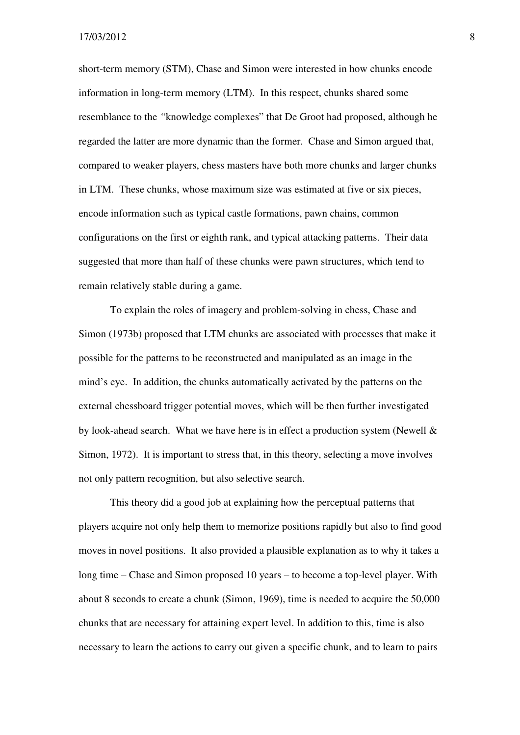short-term memory (STM), Chase and Simon were interested in how chunks encode information in long-term memory (LTM). In this respect, chunks shared some resemblance to the *"*knowledge complexes" that De Groot had proposed, although he regarded the latter are more dynamic than the former. Chase and Simon argued that, compared to weaker players, chess masters have both more chunks and larger chunks in LTM. These chunks, whose maximum size was estimated at five or six pieces, encode information such as typical castle formations, pawn chains, common configurations on the first or eighth rank, and typical attacking patterns. Their data suggested that more than half of these chunks were pawn structures, which tend to remain relatively stable during a game.

 To explain the roles of imagery and problem-solving in chess, Chase and Simon (1973b) proposed that LTM chunks are associated with processes that make it possible for the patterns to be reconstructed and manipulated as an image in the mind's eye. In addition, the chunks automatically activated by the patterns on the external chessboard trigger potential moves, which will be then further investigated by look-ahead search. What we have here is in effect a production system (Newell & Simon, 1972). It is important to stress that, in this theory, selecting a move involves not only pattern recognition, but also selective search.

 This theory did a good job at explaining how the perceptual patterns that players acquire not only help them to memorize positions rapidly but also to find good moves in novel positions. It also provided a plausible explanation as to why it takes a long time – Chase and Simon proposed 10 years – to become a top-level player. With about 8 seconds to create a chunk (Simon, 1969), time is needed to acquire the 50,000 chunks that are necessary for attaining expert level. In addition to this, time is also necessary to learn the actions to carry out given a specific chunk, and to learn to pairs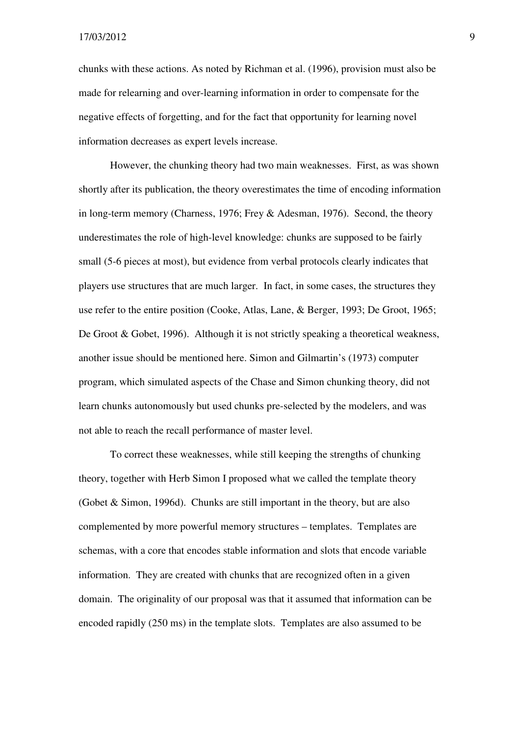chunks with these actions. As noted by Richman et al. (1996), provision must also be made for relearning and over-learning information in order to compensate for the negative effects of forgetting, and for the fact that opportunity for learning novel information decreases as expert levels increase.

 However, the chunking theory had two main weaknesses. First, as was shown shortly after its publication, the theory overestimates the time of encoding information in long-term memory (Charness, 1976; Frey & Adesman, 1976). Second, the theory underestimates the role of high-level knowledge: chunks are supposed to be fairly small (5-6 pieces at most), but evidence from verbal protocols clearly indicates that players use structures that are much larger. In fact, in some cases, the structures they use refer to the entire position (Cooke, Atlas, Lane, & Berger, 1993; De Groot, 1965; De Groot & Gobet, 1996). Although it is not strictly speaking a theoretical weakness, another issue should be mentioned here. Simon and Gilmartin's (1973) computer program, which simulated aspects of the Chase and Simon chunking theory, did not learn chunks autonomously but used chunks pre-selected by the modelers, and was not able to reach the recall performance of master level.

 To correct these weaknesses, while still keeping the strengths of chunking theory, together with Herb Simon I proposed what we called the template theory (Gobet & Simon, 1996d). Chunks are still important in the theory, but are also complemented by more powerful memory structures – templates. Templates are schemas, with a core that encodes stable information and slots that encode variable information. They are created with chunks that are recognized often in a given domain. The originality of our proposal was that it assumed that information can be encoded rapidly (250 ms) in the template slots. Templates are also assumed to be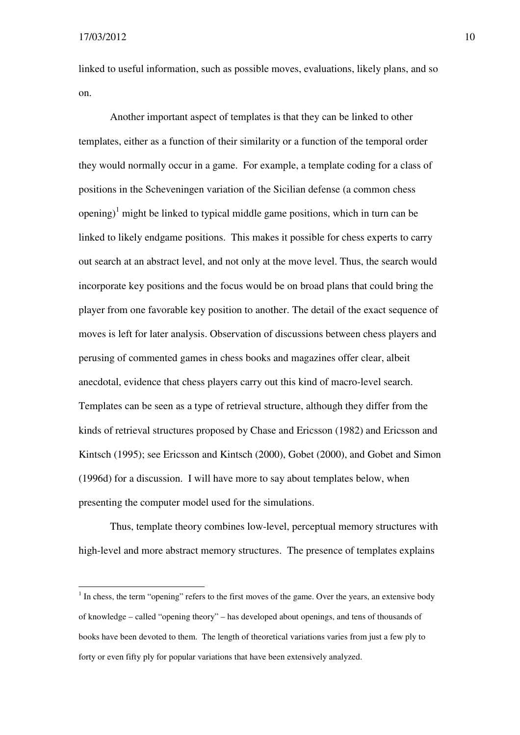$\overline{a}$ 

linked to useful information, such as possible moves, evaluations, likely plans, and so on.

Another important aspect of templates is that they can be linked to other templates, either as a function of their similarity or a function of the temporal order they would normally occur in a game. For example, a template coding for a class of positions in the Scheveningen variation of the Sicilian defense (a common chess opening)<sup>1</sup> might be linked to typical middle game positions, which in turn can be linked to likely endgame positions. This makes it possible for chess experts to carry out search at an abstract level, and not only at the move level. Thus, the search would incorporate key positions and the focus would be on broad plans that could bring the player from one favorable key position to another. The detail of the exact sequence of moves is left for later analysis. Observation of discussions between chess players and perusing of commented games in chess books and magazines offer clear, albeit anecdotal, evidence that chess players carry out this kind of macro-level search. Templates can be seen as a type of retrieval structure, although they differ from the kinds of retrieval structures proposed by Chase and Ericsson (1982) and Ericsson and Kintsch (1995); see Ericsson and Kintsch (2000), Gobet (2000), and Gobet and Simon (1996d) for a discussion. I will have more to say about templates below, when presenting the computer model used for the simulations.

Thus, template theory combines low-level, perceptual memory structures with high-level and more abstract memory structures. The presence of templates explains

 $<sup>1</sup>$  In chess, the term "opening" refers to the first moves of the game. Over the years, an extensive body</sup> of knowledge – called "opening theory" – has developed about openings, and tens of thousands of books have been devoted to them. The length of theoretical variations varies from just a few ply to forty or even fifty ply for popular variations that have been extensively analyzed.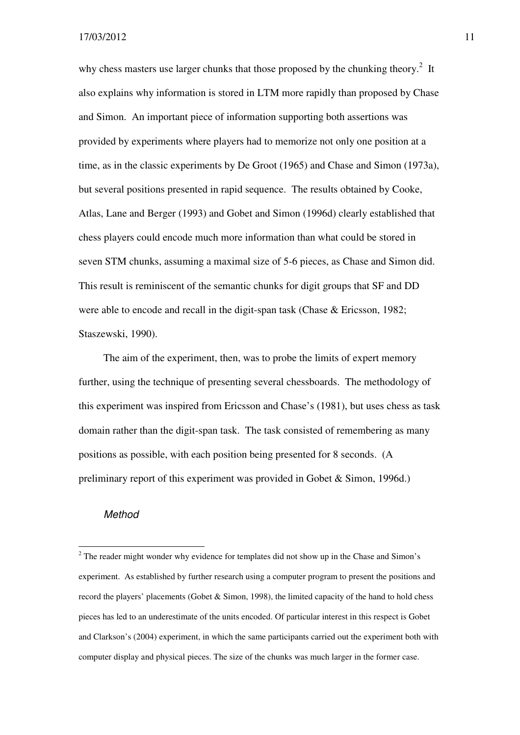why chess masters use larger chunks that those proposed by the chunking theory. $2$  It also explains why information is stored in LTM more rapidly than proposed by Chase and Simon. An important piece of information supporting both assertions was provided by experiments where players had to memorize not only one position at a time, as in the classic experiments by De Groot (1965) and Chase and Simon (1973a), but several positions presented in rapid sequence. The results obtained by Cooke, Atlas, Lane and Berger (1993) and Gobet and Simon (1996d) clearly established that chess players could encode much more information than what could be stored in seven STM chunks, assuming a maximal size of 5-6 pieces, as Chase and Simon did. This result is reminiscent of the semantic chunks for digit groups that SF and DD were able to encode and recall in the digit-span task (Chase & Ericsson, 1982; Staszewski, 1990).

The aim of the experiment, then, was to probe the limits of expert memory further, using the technique of presenting several chessboards. The methodology of this experiment was inspired from Ericsson and Chase's (1981), but uses chess as task domain rather than the digit-span task. The task consisted of remembering as many positions as possible, with each position being presented for 8 seconds. (A preliminary report of this experiment was provided in Gobet & Simon, 1996d.)

#### Method

l

 $2^2$  The reader might wonder why evidence for templates did not show up in the Chase and Simon's experiment. As established by further research using a computer program to present the positions and record the players' placements (Gobet & Simon, 1998), the limited capacity of the hand to hold chess pieces has led to an underestimate of the units encoded. Of particular interest in this respect is Gobet and Clarkson's (2004) experiment, in which the same participants carried out the experiment both with computer display and physical pieces. The size of the chunks was much larger in the former case.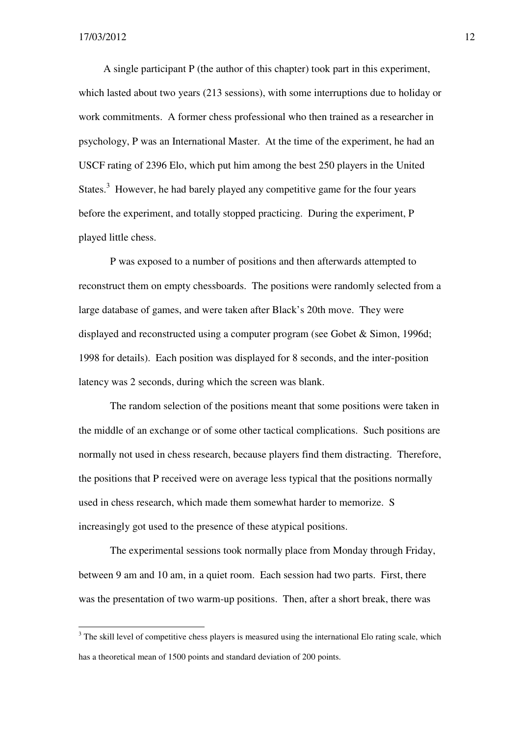$\overline{a}$ 

A single participant P (the author of this chapter) took part in this experiment, which lasted about two years (213 sessions), with some interruptions due to holiday or work commitments. A former chess professional who then trained as a researcher in psychology, P was an International Master. At the time of the experiment, he had an USCF rating of 2396 Elo, which put him among the best 250 players in the United States. $3$  However, he had barely played any competitive game for the four years before the experiment, and totally stopped practicing. During the experiment, P played little chess.

P was exposed to a number of positions and then afterwards attempted to reconstruct them on empty chessboards. The positions were randomly selected from a large database of games, and were taken after Black's 20th move. They were displayed and reconstructed using a computer program (see Gobet & Simon, 1996d; 1998 for details). Each position was displayed for 8 seconds, and the inter-position latency was 2 seconds, during which the screen was blank.

The random selection of the positions meant that some positions were taken in the middle of an exchange or of some other tactical complications. Such positions are normally not used in chess research, because players find them distracting. Therefore, the positions that P received were on average less typical that the positions normally used in chess research, which made them somewhat harder to memorize. S increasingly got used to the presence of these atypical positions.

The experimental sessions took normally place from Monday through Friday, between 9 am and 10 am, in a quiet room. Each session had two parts. First, there was the presentation of two warm-up positions. Then, after a short break, there was

 $3$  The skill level of competitive chess players is measured using the international Elo rating scale, which has a theoretical mean of 1500 points and standard deviation of 200 points.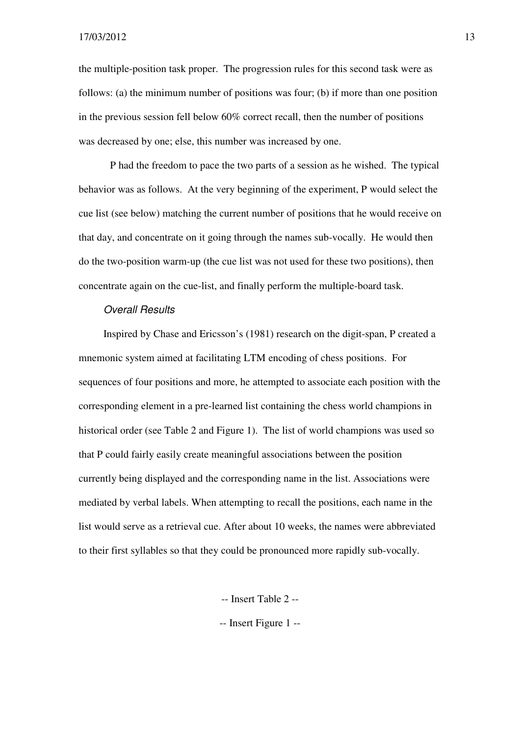the multiple-position task proper. The progression rules for this second task were as follows: (a) the minimum number of positions was four; (b) if more than one position in the previous session fell below 60% correct recall, then the number of positions was decreased by one; else, this number was increased by one.

 P had the freedom to pace the two parts of a session as he wished. The typical behavior was as follows. At the very beginning of the experiment, P would select the cue list (see below) matching the current number of positions that he would receive on that day, and concentrate on it going through the names sub-vocally. He would then do the two-position warm-up (the cue list was not used for these two positions), then concentrate again on the cue-list, and finally perform the multiple-board task.

#### Overall Results

Inspired by Chase and Ericsson's (1981) research on the digit-span, P created a mnemonic system aimed at facilitating LTM encoding of chess positions. For sequences of four positions and more, he attempted to associate each position with the corresponding element in a pre-learned list containing the chess world champions in historical order (see Table 2 and Figure 1). The list of world champions was used so that P could fairly easily create meaningful associations between the position currently being displayed and the corresponding name in the list. Associations were mediated by verbal labels. When attempting to recall the positions, each name in the list would serve as a retrieval cue. After about 10 weeks, the names were abbreviated to their first syllables so that they could be pronounced more rapidly sub-vocally.

-- Insert Table 2 --

-- Insert Figure 1 --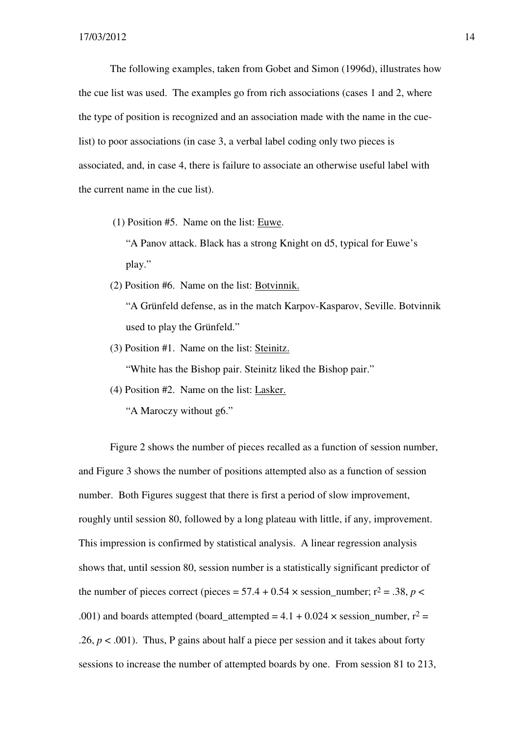The following examples, taken from Gobet and Simon (1996d), illustrates how the cue list was used. The examples go from rich associations (cases 1 and 2, where the type of position is recognized and an association made with the name in the cuelist) to poor associations (in case 3, a verbal label coding only two pieces is associated, and, in case 4, there is failure to associate an otherwise useful label with the current name in the cue list).

(1) Position #5. Name on the list: Euwe.

 "A Panov attack. Black has a strong Knight on d5, typical for Euwe's play."

(2) Position #6. Name on the list: Botvinnik.

 "A Grünfeld defense, as in the match Karpov-Kasparov, Seville. Botvinnik used to play the Grünfeld."

(3) Position #1. Name on the list: Steinitz.

"White has the Bishop pair. Steinitz liked the Bishop pair."

(4) Position #2. Name on the list: Lasker.

"A Maroczy without g6."

 Figure 2 shows the number of pieces recalled as a function of session number, and Figure 3 shows the number of positions attempted also as a function of session number. Both Figures suggest that there is first a period of slow improvement, roughly until session 80, followed by a long plateau with little, if any, improvement. This impression is confirmed by statistical analysis. A linear regression analysis shows that, until session 80, session number is a statistically significant predictor of the number of pieces correct (pieces =  $57.4 + 0.54 \times$  session number; r<sup>2</sup> = .38, *p* < .001) and boards attempted (board attempted = 4.1 + 0.024  $\times$  session number, r<sup>2</sup> = .26,  $p < .001$ ). Thus, P gains about half a piece per session and it takes about forty sessions to increase the number of attempted boards by one. From session 81 to 213,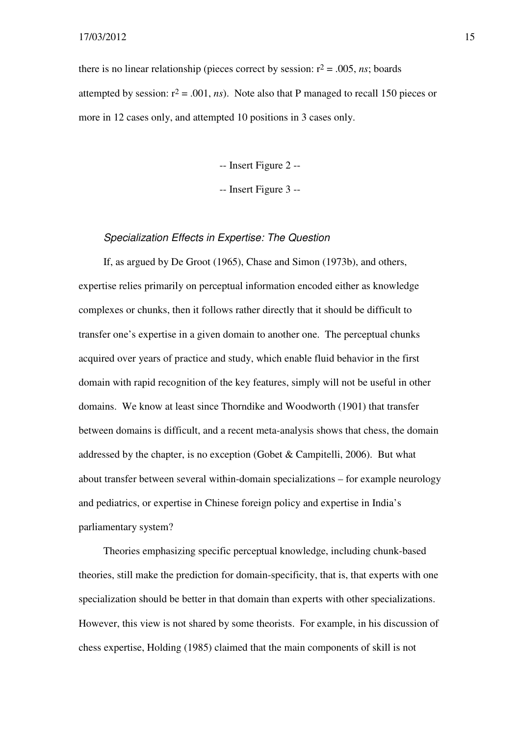there is no linear relationship (pieces correct by session:  $r^2 = .005$ , *ns*; boards attempted by session:  $r^2 = .001$ , *ns*). Note also that P managed to recall 150 pieces or more in 12 cases only, and attempted 10 positions in 3 cases only.

-- Insert Figure 2 --

-- Insert Figure 3 --

#### Specialization Effects in Expertise: The Question

If, as argued by De Groot (1965), Chase and Simon (1973b), and others, expertise relies primarily on perceptual information encoded either as knowledge complexes or chunks, then it follows rather directly that it should be difficult to transfer one's expertise in a given domain to another one. The perceptual chunks acquired over years of practice and study, which enable fluid behavior in the first domain with rapid recognition of the key features, simply will not be useful in other domains. We know at least since Thorndike and Woodworth (1901) that transfer between domains is difficult, and a recent meta-analysis shows that chess, the domain addressed by the chapter, is no exception (Gobet & Campitelli, 2006). But what about transfer between several within-domain specializations – for example neurology and pediatrics, or expertise in Chinese foreign policy and expertise in India's parliamentary system?

Theories emphasizing specific perceptual knowledge, including chunk-based theories, still make the prediction for domain-specificity, that is, that experts with one specialization should be better in that domain than experts with other specializations. However, this view is not shared by some theorists. For example, in his discussion of chess expertise, Holding (1985) claimed that the main components of skill is not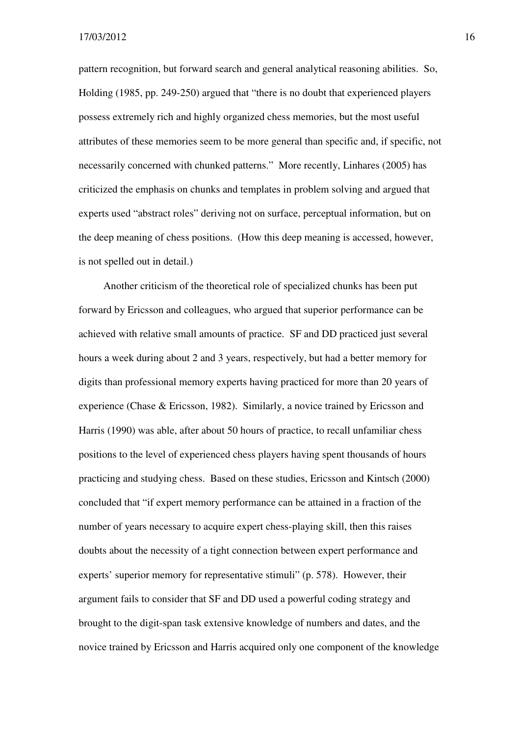pattern recognition, but forward search and general analytical reasoning abilities. So, Holding (1985, pp. 249-250) argued that "there is no doubt that experienced players possess extremely rich and highly organized chess memories, but the most useful attributes of these memories seem to be more general than specific and, if specific, not necessarily concerned with chunked patterns." More recently, Linhares (2005) has criticized the emphasis on chunks and templates in problem solving and argued that experts used "abstract roles" deriving not on surface, perceptual information, but on the deep meaning of chess positions. (How this deep meaning is accessed, however, is not spelled out in detail.)

Another criticism of the theoretical role of specialized chunks has been put forward by Ericsson and colleagues, who argued that superior performance can be achieved with relative small amounts of practice. SF and DD practiced just several hours a week during about 2 and 3 years, respectively, but had a better memory for digits than professional memory experts having practiced for more than 20 years of experience (Chase & Ericsson, 1982). Similarly, a novice trained by Ericsson and Harris (1990) was able, after about 50 hours of practice, to recall unfamiliar chess positions to the level of experienced chess players having spent thousands of hours practicing and studying chess. Based on these studies, Ericsson and Kintsch (2000) concluded that "if expert memory performance can be attained in a fraction of the number of years necessary to acquire expert chess-playing skill, then this raises doubts about the necessity of a tight connection between expert performance and experts' superior memory for representative stimuli" (p. 578). However, their argument fails to consider that SF and DD used a powerful coding strategy and brought to the digit-span task extensive knowledge of numbers and dates, and the novice trained by Ericsson and Harris acquired only one component of the knowledge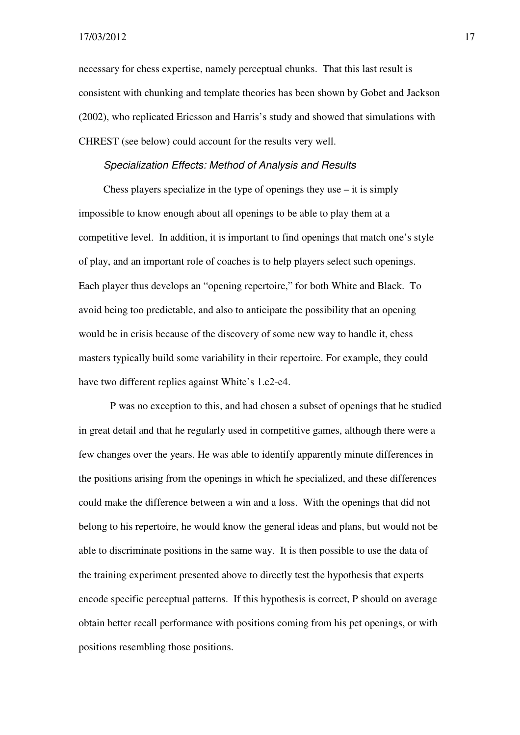necessary for chess expertise, namely perceptual chunks. That this last result is consistent with chunking and template theories has been shown by Gobet and Jackson (2002), who replicated Ericsson and Harris's study and showed that simulations with CHREST (see below) could account for the results very well.

#### Specialization Effects: Method of Analysis and Results

Chess players specialize in the type of openings they use  $-$  it is simply impossible to know enough about all openings to be able to play them at a competitive level. In addition, it is important to find openings that match one's style of play, and an important role of coaches is to help players select such openings. Each player thus develops an "opening repertoire," for both White and Black. To avoid being too predictable, and also to anticipate the possibility that an opening would be in crisis because of the discovery of some new way to handle it, chess masters typically build some variability in their repertoire. For example, they could have two different replies against White's 1.e2-e4.

P was no exception to this, and had chosen a subset of openings that he studied in great detail and that he regularly used in competitive games, although there were a few changes over the years. He was able to identify apparently minute differences in the positions arising from the openings in which he specialized, and these differences could make the difference between a win and a loss. With the openings that did not belong to his repertoire, he would know the general ideas and plans, but would not be able to discriminate positions in the same way. It is then possible to use the data of the training experiment presented above to directly test the hypothesis that experts encode specific perceptual patterns. If this hypothesis is correct, P should on average obtain better recall performance with positions coming from his pet openings, or with positions resembling those positions.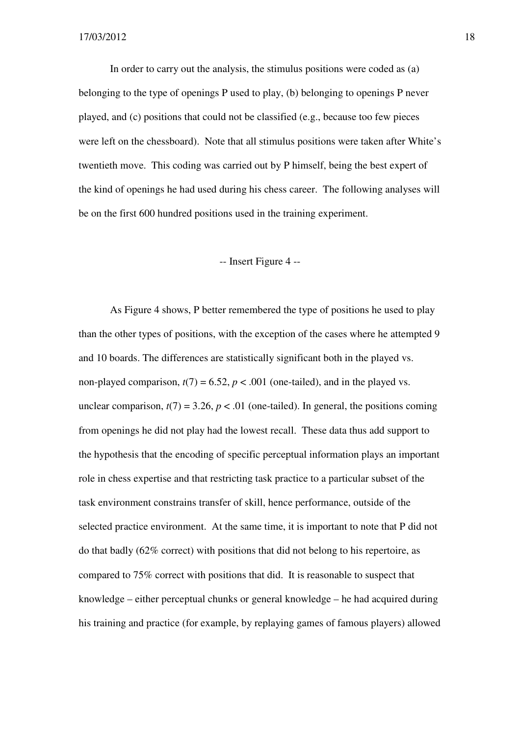In order to carry out the analysis, the stimulus positions were coded as (a) belonging to the type of openings P used to play, (b) belonging to openings P never played, and (c) positions that could not be classified (e.g., because too few pieces were left on the chessboard). Note that all stimulus positions were taken after White's twentieth move. This coding was carried out by P himself, being the best expert of the kind of openings he had used during his chess career. The following analyses will be on the first 600 hundred positions used in the training experiment.

#### -- Insert Figure 4 --

As Figure 4 shows, P better remembered the type of positions he used to play than the other types of positions, with the exception of the cases where he attempted 9 and 10 boards. The differences are statistically significant both in the played vs. non-played comparison,  $t(7) = 6.52$ ,  $p < .001$  (one-tailed), and in the played vs. unclear comparison,  $t(7) = 3.26$ ,  $p < .01$  (one-tailed). In general, the positions coming from openings he did not play had the lowest recall. These data thus add support to the hypothesis that the encoding of specific perceptual information plays an important role in chess expertise and that restricting task practice to a particular subset of the task environment constrains transfer of skill, hence performance, outside of the selected practice environment. At the same time, it is important to note that P did not do that badly (62% correct) with positions that did not belong to his repertoire, as compared to 75% correct with positions that did. It is reasonable to suspect that knowledge – either perceptual chunks or general knowledge – he had acquired during his training and practice (for example, by replaying games of famous players) allowed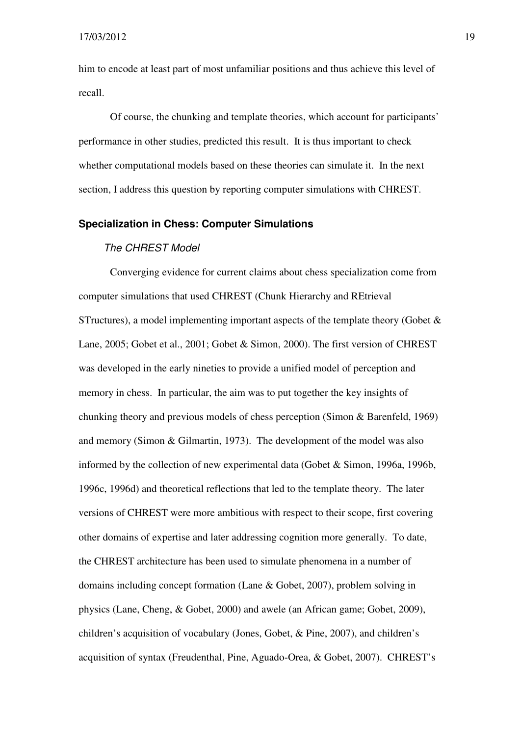him to encode at least part of most unfamiliar positions and thus achieve this level of recall.

 Of course, the chunking and template theories, which account for participants' performance in other studies, predicted this result. It is thus important to check whether computational models based on these theories can simulate it. In the next section, I address this question by reporting computer simulations with CHREST.

#### **Specialization in Chess: Computer Simulations**

#### The CHREST Model

Converging evidence for current claims about chess specialization come from computer simulations that used CHREST (Chunk Hierarchy and REtrieval STructures), a model implementing important aspects of the template theory (Gobet & Lane, 2005; Gobet et al., 2001; Gobet & Simon, 2000). The first version of CHREST was developed in the early nineties to provide a unified model of perception and memory in chess. In particular, the aim was to put together the key insights of chunking theory and previous models of chess perception (Simon & Barenfeld, 1969) and memory (Simon & Gilmartin, 1973). The development of the model was also informed by the collection of new experimental data (Gobet & Simon, 1996a, 1996b, 1996c, 1996d) and theoretical reflections that led to the template theory. The later versions of CHREST were more ambitious with respect to their scope, first covering other domains of expertise and later addressing cognition more generally. To date, the CHREST architecture has been used to simulate phenomena in a number of domains including concept formation (Lane & Gobet, 2007), problem solving in physics (Lane, Cheng, & Gobet, 2000) and awele (an African game; Gobet, 2009), children's acquisition of vocabulary (Jones, Gobet, & Pine, 2007), and children's acquisition of syntax (Freudenthal, Pine, Aguado-Orea, & Gobet, 2007). CHREST's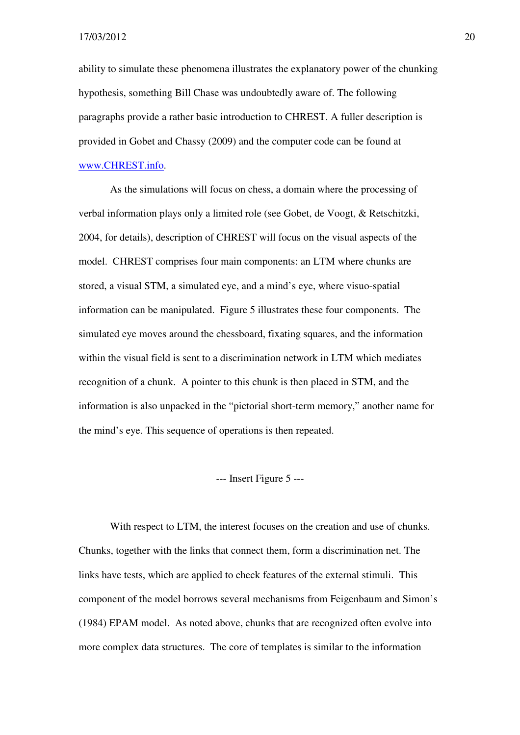ability to simulate these phenomena illustrates the explanatory power of the chunking hypothesis, something Bill Chase was undoubtedly aware of. The following paragraphs provide a rather basic introduction to CHREST. A fuller description is provided in Gobet and Chassy (2009) and the computer code can be found at www.CHREST.info.

As the simulations will focus on chess, a domain where the processing of verbal information plays only a limited role (see Gobet, de Voogt, & Retschitzki, 2004, for details), description of CHREST will focus on the visual aspects of the model. CHREST comprises four main components: an LTM where chunks are stored, a visual STM, a simulated eye, and a mind's eye, where visuo-spatial information can be manipulated. Figure 5 illustrates these four components. The simulated eye moves around the chessboard, fixating squares, and the information within the visual field is sent to a discrimination network in LTM which mediates recognition of a chunk. A pointer to this chunk is then placed in STM, and the information is also unpacked in the "pictorial short-term memory," another name for the mind's eye. This sequence of operations is then repeated.

--- Insert Figure 5 ---

With respect to LTM, the interest focuses on the creation and use of chunks. Chunks, together with the links that connect them, form a discrimination net. The links have tests, which are applied to check features of the external stimuli. This component of the model borrows several mechanisms from Feigenbaum and Simon's (1984) EPAM model. As noted above, chunks that are recognized often evolve into more complex data structures. The core of templates is similar to the information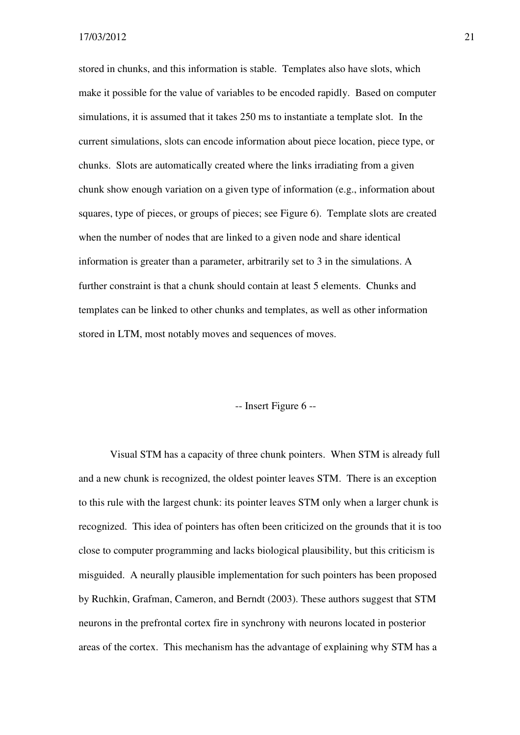stored in chunks, and this information is stable. Templates also have slots, which make it possible for the value of variables to be encoded rapidly. Based on computer simulations, it is assumed that it takes 250 ms to instantiate a template slot. In the current simulations, slots can encode information about piece location, piece type, or chunks. Slots are automatically created where the links irradiating from a given chunk show enough variation on a given type of information (e.g., information about squares, type of pieces, or groups of pieces; see Figure 6). Template slots are created when the number of nodes that are linked to a given node and share identical information is greater than a parameter, arbitrarily set to 3 in the simulations. A further constraint is that a chunk should contain at least 5 elements. Chunks and templates can be linked to other chunks and templates, as well as other information stored in LTM, most notably moves and sequences of moves.

#### -- Insert Figure 6 --

Visual STM has a capacity of three chunk pointers. When STM is already full and a new chunk is recognized, the oldest pointer leaves STM. There is an exception to this rule with the largest chunk: its pointer leaves STM only when a larger chunk is recognized. This idea of pointers has often been criticized on the grounds that it is too close to computer programming and lacks biological plausibility, but this criticism is misguided. A neurally plausible implementation for such pointers has been proposed by Ruchkin, Grafman, Cameron, and Berndt (2003). These authors suggest that STM neurons in the prefrontal cortex fire in synchrony with neurons located in posterior areas of the cortex. This mechanism has the advantage of explaining why STM has a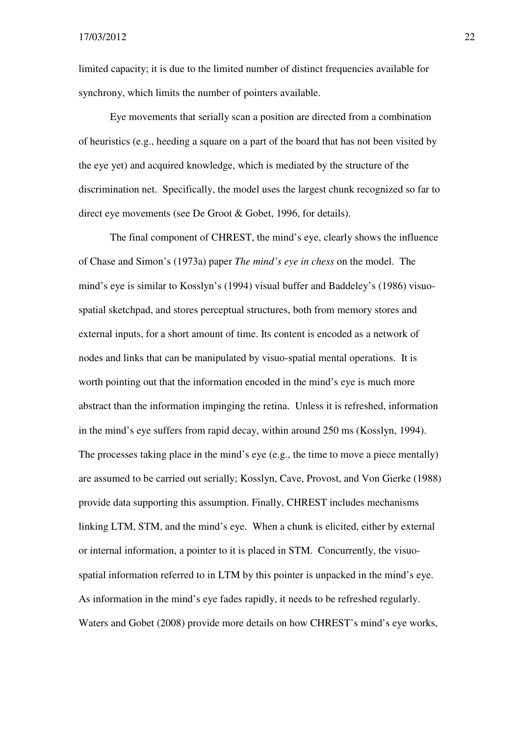limited capacity; it is due to the limited number of distinct frequencies available for synchrony, which limits the number of pointers available.

Eye movements that serially scan a position are directed from a combination of heuristics (e.g., heeding a square on a part of the board that has not been visited by the eye yet) and acquired knowledge, which is mediated by the structure of the discrimination net. Specifically, the model uses the largest chunk recognized so far to direct eye movements (see De Groot & Gobet, 1996, for details).

The final component of CHREST, the mind's eye, clearly shows the influence of Chase and Simon's (1973a) paper *The mind's eye in chess* on the model. The mind's eye is similar to Kosslyn's (1994) visual buffer and Baddeley's (1986) visuospatial sketchpad, and stores perceptual structures, both from memory stores and external inputs, for a short amount of time. Its content is encoded as a network of nodes and links that can be manipulated by visuo-spatial mental operations. It is worth pointing out that the information encoded in the mind's eye is much more abstract than the information impinging the retina. Unless it is refreshed, information in the mind's eye suffers from rapid decay, within around 250 ms (Kosslyn, 1994). The processes taking place in the mind's eye (e.g., the time to move a piece mentally) are assumed to be carried out serially; Kosslyn, Cave, Provost, and Von Gierke (1988) provide data supporting this assumption. Finally, CHREST includes mechanisms linking LTM, STM, and the mind's eye. When a chunk is elicited, either by external or internal information, a pointer to it is placed in STM. Concurrently, the visuospatial information referred to in LTM by this pointer is unpacked in the mind's eye. As information in the mind's eye fades rapidly, it needs to be refreshed regularly. Waters and Gobet (2008) provide more details on how CHREST's mind's eye works,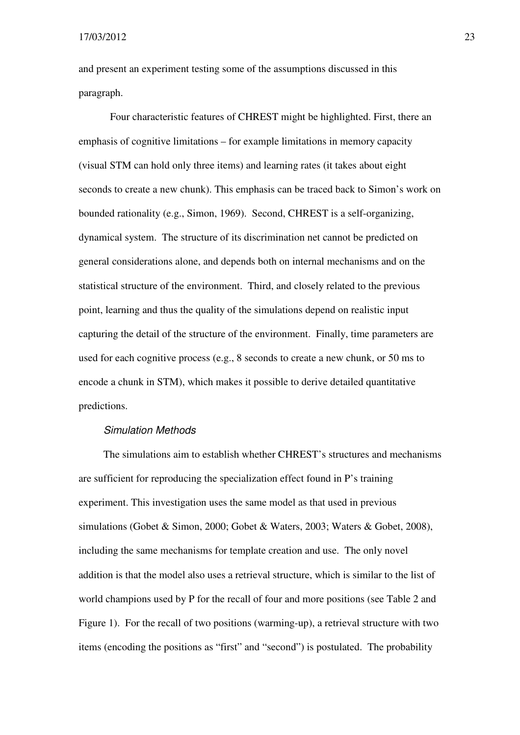and present an experiment testing some of the assumptions discussed in this paragraph.

Four characteristic features of CHREST might be highlighted. First, there an emphasis of cognitive limitations – for example limitations in memory capacity (visual STM can hold only three items) and learning rates (it takes about eight seconds to create a new chunk). This emphasis can be traced back to Simon's work on bounded rationality (e.g., Simon, 1969). Second, CHREST is a self-organizing, dynamical system. The structure of its discrimination net cannot be predicted on general considerations alone, and depends both on internal mechanisms and on the statistical structure of the environment. Third, and closely related to the previous point, learning and thus the quality of the simulations depend on realistic input capturing the detail of the structure of the environment. Finally, time parameters are used for each cognitive process (e.g., 8 seconds to create a new chunk, or 50 ms to encode a chunk in STM), which makes it possible to derive detailed quantitative predictions.

#### Simulation Methods

The simulations aim to establish whether CHREST's structures and mechanisms are sufficient for reproducing the specialization effect found in P's training experiment. This investigation uses the same model as that used in previous simulations (Gobet & Simon, 2000; Gobet & Waters, 2003; Waters & Gobet, 2008), including the same mechanisms for template creation and use. The only novel addition is that the model also uses a retrieval structure, which is similar to the list of world champions used by P for the recall of four and more positions (see Table 2 and Figure 1). For the recall of two positions (warming-up), a retrieval structure with two items (encoding the positions as "first" and "second") is postulated. The probability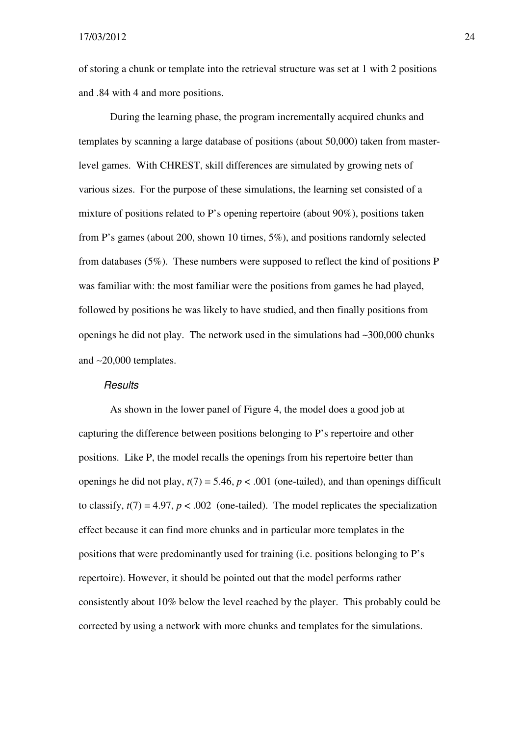of storing a chunk or template into the retrieval structure was set at 1 with 2 positions and .84 with 4 and more positions.

During the learning phase, the program incrementally acquired chunks and templates by scanning a large database of positions (about 50,000) taken from masterlevel games. With CHREST, skill differences are simulated by growing nets of various sizes. For the purpose of these simulations, the learning set consisted of a mixture of positions related to P's opening repertoire (about 90%), positions taken from P's games (about 200, shown 10 times, 5%), and positions randomly selected from databases (5%). These numbers were supposed to reflect the kind of positions P was familiar with: the most familiar were the positions from games he had played, followed by positions he was likely to have studied, and then finally positions from openings he did not play. The network used in the simulations had ∼300,000 chunks and ∼20,000 templates.

#### Results

As shown in the lower panel of Figure 4, the model does a good job at capturing the difference between positions belonging to P's repertoire and other positions. Like P, the model recalls the openings from his repertoire better than openings he did not play,  $t(7) = 5.46$ ,  $p < .001$  (one-tailed), and than openings difficult to classify,  $t(7) = 4.97$ ,  $p < .002$  (one-tailed). The model replicates the specialization effect because it can find more chunks and in particular more templates in the positions that were predominantly used for training (i.e. positions belonging to P's repertoire). However, it should be pointed out that the model performs rather consistently about 10% below the level reached by the player. This probably could be corrected by using a network with more chunks and templates for the simulations.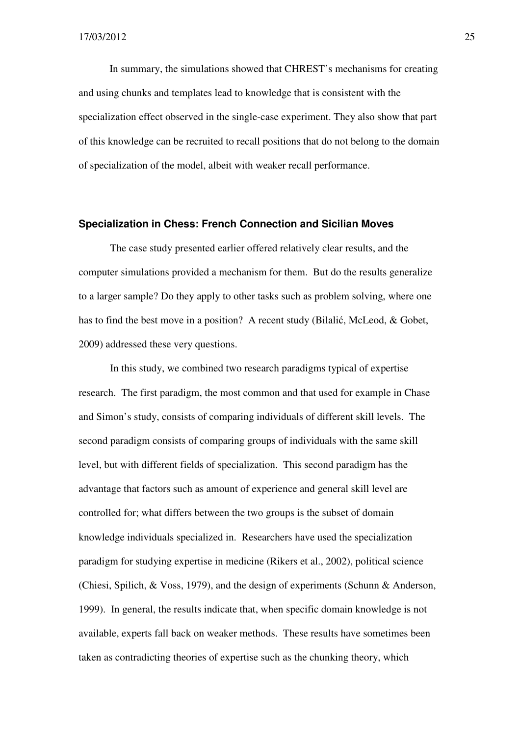In summary, the simulations showed that CHREST's mechanisms for creating and using chunks and templates lead to knowledge that is consistent with the specialization effect observed in the single-case experiment. They also show that part of this knowledge can be recruited to recall positions that do not belong to the domain of specialization of the model, albeit with weaker recall performance.

#### **Specialization in Chess: French Connection and Sicilian Moves**

The case study presented earlier offered relatively clear results, and the computer simulations provided a mechanism for them. But do the results generalize to a larger sample? Do they apply to other tasks such as problem solving, where one has to find the best move in a position? A recent study (Bilalić, McLeod, & Gobet, 2009) addressed these very questions.

 In this study, we combined two research paradigms typical of expertise research. The first paradigm, the most common and that used for example in Chase and Simon's study, consists of comparing individuals of different skill levels. The second paradigm consists of comparing groups of individuals with the same skill level, but with different fields of specialization. This second paradigm has the advantage that factors such as amount of experience and general skill level are controlled for; what differs between the two groups is the subset of domain knowledge individuals specialized in. Researchers have used the specialization paradigm for studying expertise in medicine (Rikers et al., 2002), political science (Chiesi, Spilich, & Voss, 1979), and the design of experiments (Schunn & Anderson, 1999). In general, the results indicate that, when specific domain knowledge is not available, experts fall back on weaker methods. These results have sometimes been taken as contradicting theories of expertise such as the chunking theory, which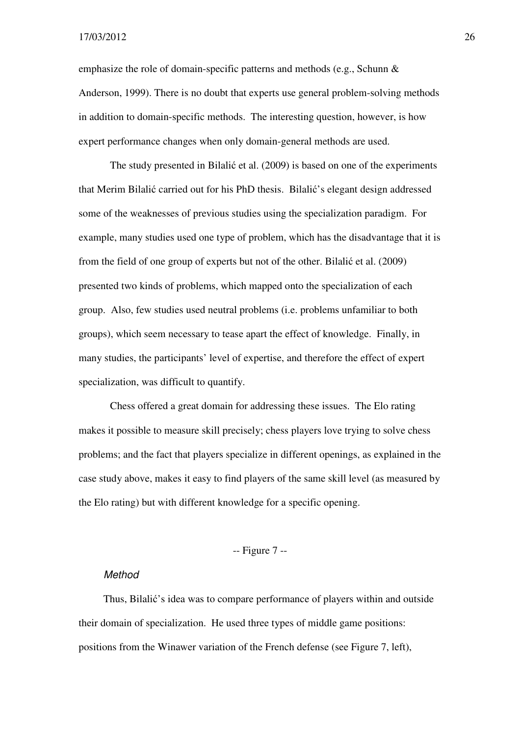emphasize the role of domain-specific patterns and methods (e.g., Schunn & Anderson, 1999). There is no doubt that experts use general problem-solving methods in addition to domain-specific methods. The interesting question, however, is how expert performance changes when only domain-general methods are used.

 The study presented in Bilalić et al. (2009) is based on one of the experiments that Merim Bilalić carried out for his PhD thesis. Bilalić's elegant design addressed some of the weaknesses of previous studies using the specialization paradigm. For example, many studies used one type of problem, which has the disadvantage that it is from the field of one group of experts but not of the other. Bilalić et al. (2009) presented two kinds of problems, which mapped onto the specialization of each group. Also, few studies used neutral problems (i.e. problems unfamiliar to both groups), which seem necessary to tease apart the effect of knowledge. Finally, in many studies, the participants' level of expertise, and therefore the effect of expert specialization, was difficult to quantify.

 Chess offered a great domain for addressing these issues. The Elo rating makes it possible to measure skill precisely; chess players love trying to solve chess problems; and the fact that players specialize in different openings, as explained in the case study above, makes it easy to find players of the same skill level (as measured by the Elo rating) but with different knowledge for a specific opening.

#### -- Figure 7 --

#### Method

Thus, Bilalić's idea was to compare performance of players within and outside their domain of specialization. He used three types of middle game positions: positions from the Winawer variation of the French defense (see Figure 7, left),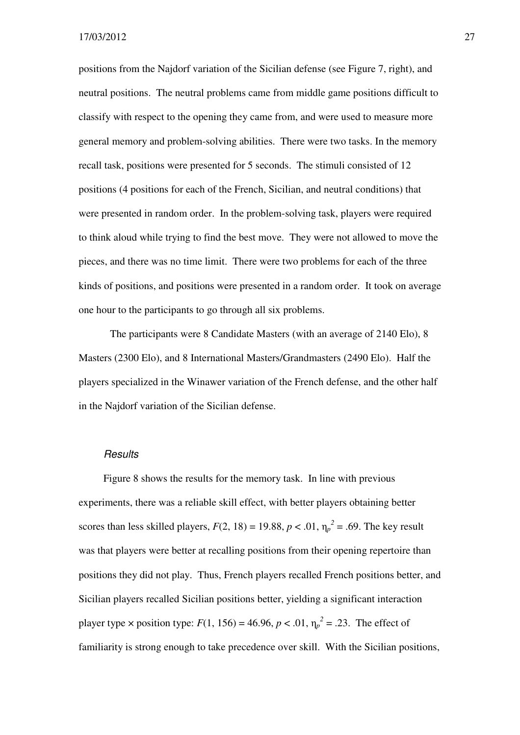positions from the Najdorf variation of the Sicilian defense (see Figure 7, right), and neutral positions. The neutral problems came from middle game positions difficult to classify with respect to the opening they came from, and were used to measure more general memory and problem-solving abilities. There were two tasks. In the memory recall task, positions were presented for 5 seconds. The stimuli consisted of 12 positions (4 positions for each of the French, Sicilian, and neutral conditions) that were presented in random order. In the problem-solving task, players were required to think aloud while trying to find the best move. They were not allowed to move the pieces, and there was no time limit. There were two problems for each of the three kinds of positions, and positions were presented in a random order. It took on average one hour to the participants to go through all six problems.

 The participants were 8 Candidate Masters (with an average of 2140 Elo), 8 Masters (2300 Elo), and 8 International Masters/Grandmasters (2490 Elo). Half the players specialized in the Winawer variation of the French defense, and the other half in the Najdorf variation of the Sicilian defense.

#### **Results**

Figure 8 shows the results for the memory task. In line with previous experiments, there was a reliable skill effect, with better players obtaining better scores than less skilled players,  $F(2, 18) = 19.88$ ,  $p < .01$ ,  $\eta_p^2 = .69$ . The key result was that players were better at recalling positions from their opening repertoire than positions they did not play. Thus, French players recalled French positions better, and Sicilian players recalled Sicilian positions better, yielding a significant interaction player type  $\times$  position type: *F*(1, 156) = 46.96, *p* < .01,  $\eta_p^2$  = .23. The effect of familiarity is strong enough to take precedence over skill. With the Sicilian positions,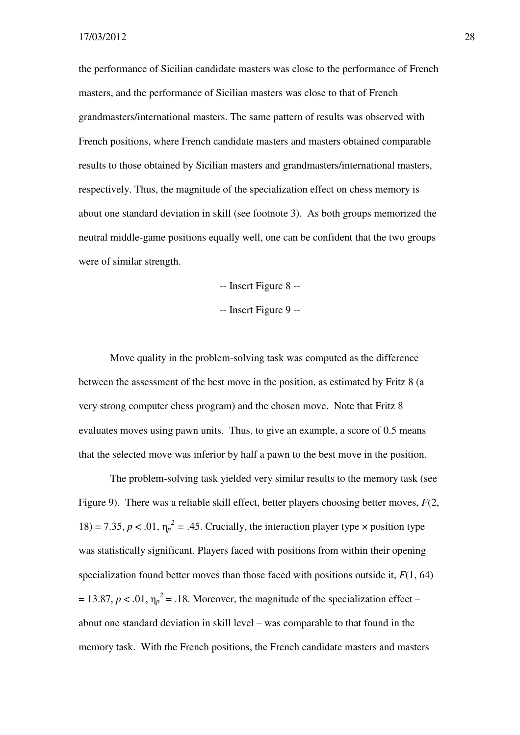the performance of Sicilian candidate masters was close to the performance of French masters, and the performance of Sicilian masters was close to that of French grandmasters/international masters. The same pattern of results was observed with French positions, where French candidate masters and masters obtained comparable results to those obtained by Sicilian masters and grandmasters/international masters, respectively. Thus, the magnitude of the specialization effect on chess memory is about one standard deviation in skill (see footnote 3). As both groups memorized the neutral middle-game positions equally well, one can be confident that the two groups were of similar strength.

-- Insert Figure 8 --

-- Insert Figure 9 --

Move quality in the problem-solving task was computed as the difference between the assessment of the best move in the position, as estimated by Fritz 8 (a very strong computer chess program) and the chosen move. Note that Fritz 8 evaluates moves using pawn units. Thus, to give an example, a score of 0.5 means that the selected move was inferior by half a pawn to the best move in the position.

The problem-solving task yielded very similar results to the memory task (see Figure 9). There was a reliable skill effect, better players choosing better moves, *F*(2, 18) = 7.35,  $p < .01$ ,  $\eta_p^2 = .45$ . Crucially, the interaction player type  $\times$  position type was statistically significant. Players faced with positions from within their opening specialization found better moves than those faced with positions outside it, *F*(1, 64)  $= 13.87, p < .01, \eta_p^2 = .18$ . Moreover, the magnitude of the specialization effect – about one standard deviation in skill level – was comparable to that found in the memory task. With the French positions, the French candidate masters and masters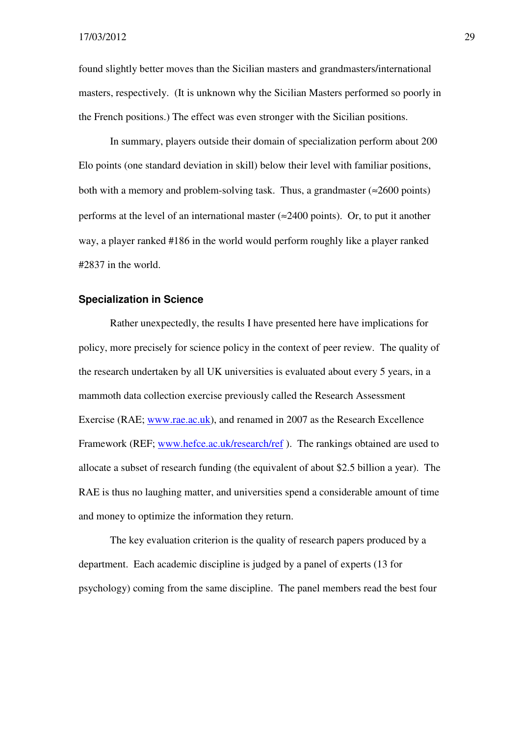found slightly better moves than the Sicilian masters and grandmasters/international masters, respectively. (It is unknown why the Sicilian Masters performed so poorly in the French positions.) The effect was even stronger with the Sicilian positions.

In summary, players outside their domain of specialization perform about 200 Elo points (one standard deviation in skill) below their level with familiar positions, both with a memory and problem-solving task. Thus, a grandmaster  $(\approx 2600 \text{ points})$ performs at the level of an international master ( $\approx$ 2400 points). Or, to put it another way, a player ranked #186 in the world would perform roughly like a player ranked #2837 in the world.

#### **Specialization in Science**

Rather unexpectedly, the results I have presented here have implications for policy, more precisely for science policy in the context of peer review. The quality of the research undertaken by all UK universities is evaluated about every 5 years, in a mammoth data collection exercise previously called the Research Assessment Exercise (RAE; www.rae.ac.uk), and renamed in 2007 as the Research Excellence Framework (REF; www.hefce.ac.uk/research/ref). The rankings obtained are used to allocate a subset of research funding (the equivalent of about \$2.5 billion a year). The RAE is thus no laughing matter, and universities spend a considerable amount of time and money to optimize the information they return.

The key evaluation criterion is the quality of research papers produced by a department. Each academic discipline is judged by a panel of experts (13 for psychology) coming from the same discipline. The panel members read the best four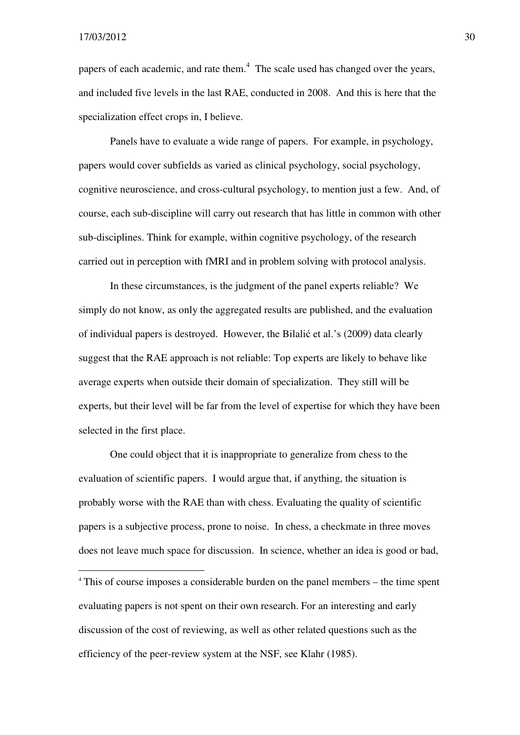$\overline{a}$ 

papers of each academic, and rate them.<sup>4</sup> The scale used has changed over the years, and included five levels in the last RAE, conducted in 2008. And this is here that the specialization effect crops in, I believe.

 Panels have to evaluate a wide range of papers. For example, in psychology, papers would cover subfields as varied as clinical psychology, social psychology, cognitive neuroscience, and cross-cultural psychology, to mention just a few. And, of course, each sub-discipline will carry out research that has little in common with other sub-disciplines. Think for example, within cognitive psychology, of the research carried out in perception with fMRI and in problem solving with protocol analysis.

In these circumstances, is the judgment of the panel experts reliable? We simply do not know, as only the aggregated results are published, and the evaluation of individual papers is destroyed. However, the Bilalić et al.'s (2009) data clearly suggest that the RAE approach is not reliable: Top experts are likely to behave like average experts when outside their domain of specialization. They still will be experts, but their level will be far from the level of expertise for which they have been selected in the first place.

One could object that it is inappropriate to generalize from chess to the evaluation of scientific papers. I would argue that, if anything, the situation is probably worse with the RAE than with chess. Evaluating the quality of scientific papers is a subjective process, prone to noise. In chess, a checkmate in three moves does not leave much space for discussion. In science, whether an idea is good or bad,

<sup>4</sup> This of course imposes a considerable burden on the panel members – the time spent evaluating papers is not spent on their own research. For an interesting and early discussion of the cost of reviewing, as well as other related questions such as the efficiency of the peer-review system at the NSF, see Klahr (1985).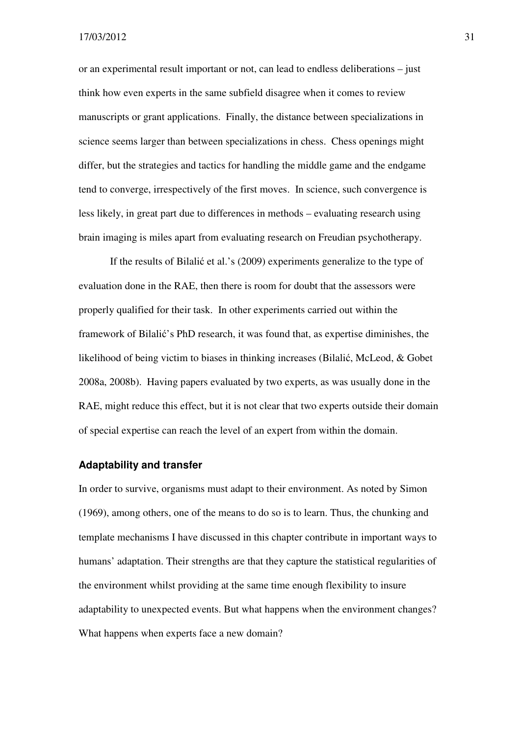or an experimental result important or not, can lead to endless deliberations – just think how even experts in the same subfield disagree when it comes to review manuscripts or grant applications. Finally, the distance between specializations in science seems larger than between specializations in chess. Chess openings might differ, but the strategies and tactics for handling the middle game and the endgame tend to converge, irrespectively of the first moves. In science, such convergence is less likely, in great part due to differences in methods – evaluating research using brain imaging is miles apart from evaluating research on Freudian psychotherapy.

If the results of Bilalić et al.'s (2009) experiments generalize to the type of evaluation done in the RAE, then there is room for doubt that the assessors were properly qualified for their task. In other experiments carried out within the framework of Bilalić's PhD research, it was found that, as expertise diminishes, the likelihood of being victim to biases in thinking increases (Bilalić, McLeod, & Gobet 2008a, 2008b). Having papers evaluated by two experts, as was usually done in the RAE, might reduce this effect, but it is not clear that two experts outside their domain of special expertise can reach the level of an expert from within the domain.

#### **Adaptability and transfer**

In order to survive, organisms must adapt to their environment. As noted by Simon (1969), among others, one of the means to do so is to learn. Thus, the chunking and template mechanisms I have discussed in this chapter contribute in important ways to humans' adaptation. Their strengths are that they capture the statistical regularities of the environment whilst providing at the same time enough flexibility to insure adaptability to unexpected events. But what happens when the environment changes? What happens when experts face a new domain?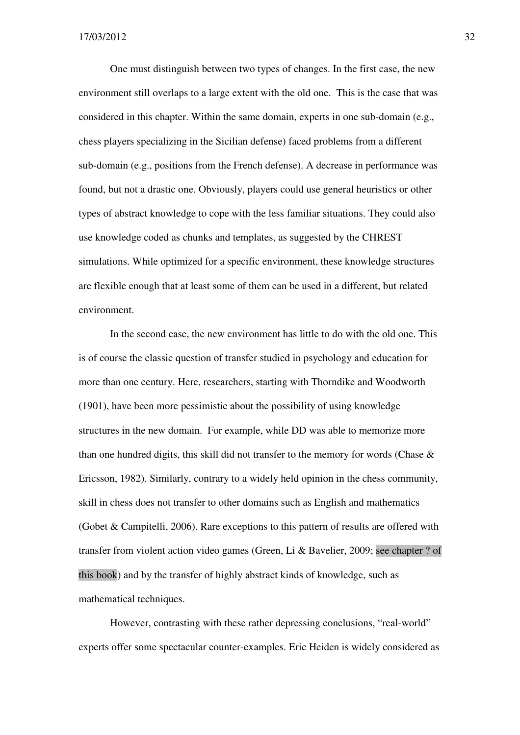One must distinguish between two types of changes. In the first case, the new environment still overlaps to a large extent with the old one. This is the case that was considered in this chapter. Within the same domain, experts in one sub-domain (e.g., chess players specializing in the Sicilian defense) faced problems from a different sub-domain (e.g., positions from the French defense). A decrease in performance was found, but not a drastic one. Obviously, players could use general heuristics or other types of abstract knowledge to cope with the less familiar situations. They could also use knowledge coded as chunks and templates, as suggested by the CHREST simulations. While optimized for a specific environment, these knowledge structures are flexible enough that at least some of them can be used in a different, but related environment.

In the second case, the new environment has little to do with the old one. This is of course the classic question of transfer studied in psychology and education for more than one century. Here, researchers, starting with Thorndike and Woodworth (1901), have been more pessimistic about the possibility of using knowledge structures in the new domain. For example, while DD was able to memorize more than one hundred digits, this skill did not transfer to the memory for words (Chase & Ericsson, 1982). Similarly, contrary to a widely held opinion in the chess community, skill in chess does not transfer to other domains such as English and mathematics (Gobet & Campitelli, 2006). Rare exceptions to this pattern of results are offered with transfer from violent action video games (Green, Li & Bavelier, 2009; see chapter ? of this book) and by the transfer of highly abstract kinds of knowledge, such as mathematical techniques.

However, contrasting with these rather depressing conclusions, "real-world" experts offer some spectacular counter-examples. Eric Heiden is widely considered as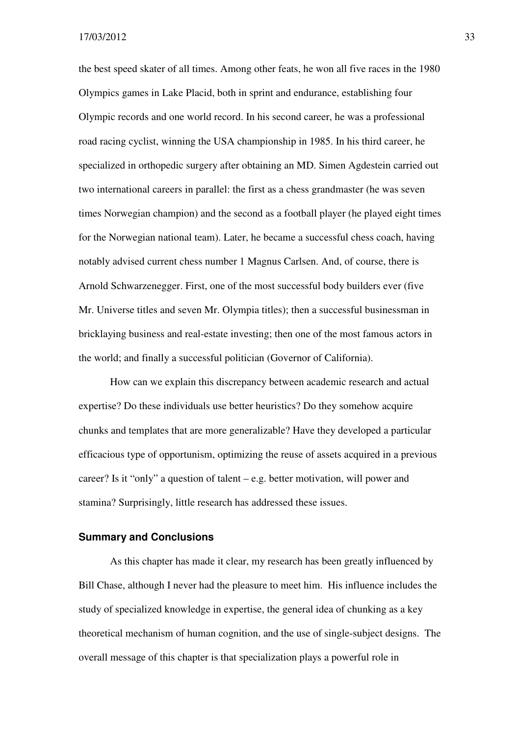the best speed skater of all times. Among other feats, he won all five races in the 1980 Olympics games in Lake Placid, both in sprint and endurance, establishing four Olympic records and one world record. In his second career, he was a professional road racing cyclist, winning the USA championship in 1985. In his third career, he specialized in orthopedic surgery after obtaining an MD. Simen Agdestein carried out two international careers in parallel: the first as a chess grandmaster (he was seven times Norwegian champion) and the second as a football player (he played eight times for the Norwegian national team). Later, he became a successful chess coach, having notably advised current chess number 1 Magnus Carlsen. And, of course, there is Arnold Schwarzenegger. First, one of the most successful body builders ever (five Mr. Universe titles and seven Mr. Olympia titles); then a successful businessman in bricklaying business and real-estate investing; then one of the most famous actors in the world; and finally a successful politician (Governor of California).

How can we explain this discrepancy between academic research and actual expertise? Do these individuals use better heuristics? Do they somehow acquire chunks and templates that are more generalizable? Have they developed a particular efficacious type of opportunism, optimizing the reuse of assets acquired in a previous career? Is it "only" a question of talent  $-e.g.$  better motivation, will power and stamina? Surprisingly, little research has addressed these issues.

#### **Summary and Conclusions**

As this chapter has made it clear, my research has been greatly influenced by Bill Chase, although I never had the pleasure to meet him. His influence includes the study of specialized knowledge in expertise, the general idea of chunking as a key theoretical mechanism of human cognition, and the use of single-subject designs. The overall message of this chapter is that specialization plays a powerful role in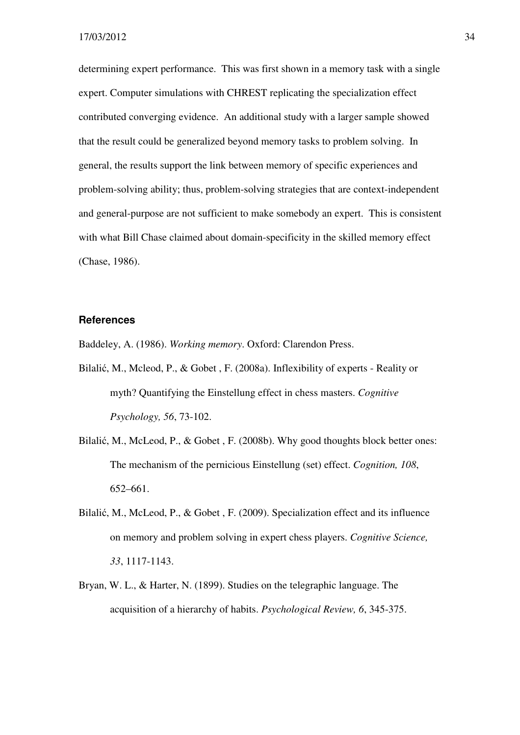determining expert performance. This was first shown in a memory task with a single expert. Computer simulations with CHREST replicating the specialization effect contributed converging evidence. An additional study with a larger sample showed that the result could be generalized beyond memory tasks to problem solving. In general, the results support the link between memory of specific experiences and problem-solving ability; thus, problem-solving strategies that are context-independent and general-purpose are not sufficient to make somebody an expert. This is consistent with what Bill Chase claimed about domain-specificity in the skilled memory effect (Chase, 1986).

#### **References**

Baddeley, A. (1986). *Working memory*. Oxford: Clarendon Press.

- Bilalić, M., Mcleod, P., & Gobet , F. (2008a). Inflexibility of experts Reality or myth? Quantifying the Einstellung effect in chess masters. *Cognitive Psychology, 56*, 73-102.
- Bilalić, M., McLeod, P., & Gobet , F. (2008b). Why good thoughts block better ones: The mechanism of the pernicious Einstellung (set) effect. *Cognition, 108*, 652–661.
- Bilalić, M., McLeod, P., & Gobet , F. (2009). Specialization effect and its influence on memory and problem solving in expert chess players. *Cognitive Science, 33*, 1117-1143.
- Bryan, W. L., & Harter, N. (1899). Studies on the telegraphic language. The acquisition of a hierarchy of habits. *Psychological Review, 6*, 345-375.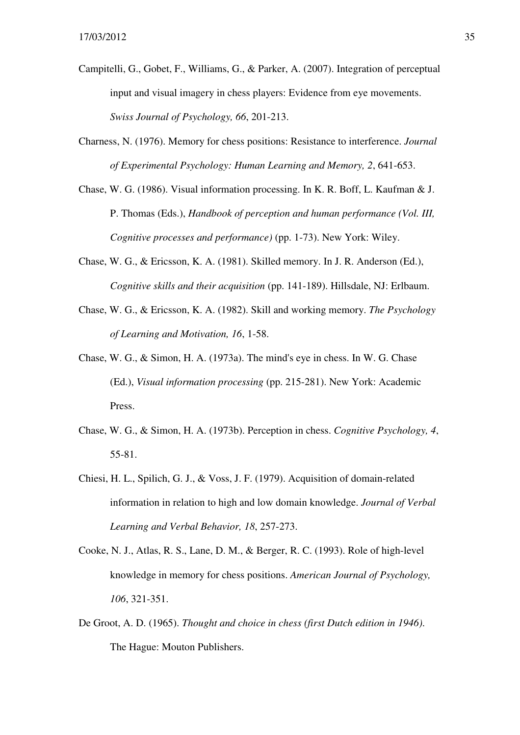- Campitelli, G., Gobet, F., Williams, G., & Parker, A. (2007). Integration of perceptual input and visual imagery in chess players: Evidence from eye movements. *Swiss Journal of Psychology, 66*, 201-213.
- Charness, N. (1976). Memory for chess positions: Resistance to interference. *Journal of Experimental Psychology: Human Learning and Memory, 2*, 641-653.
- Chase, W. G. (1986). Visual information processing. In K. R. Boff, L. Kaufman & J. P. Thomas (Eds.), *Handbook of perception and human performance (Vol. III, Cognitive processes and performance)* (pp. 1-73). New York: Wiley.
- Chase, W. G., & Ericsson, K. A. (1981). Skilled memory. In J. R. Anderson (Ed.), *Cognitive skills and their acquisition* (pp. 141-189). Hillsdale, NJ: Erlbaum.
- Chase, W. G., & Ericsson, K. A. (1982). Skill and working memory. *The Psychology of Learning and Motivation, 16*, 1-58.
- Chase, W. G., & Simon, H. A. (1973a). The mind's eye in chess. In W. G. Chase (Ed.), *Visual information processing* (pp. 215-281). New York: Academic Press.
- Chase, W. G., & Simon, H. A. (1973b). Perception in chess. *Cognitive Psychology, 4*, 55-81.
- Chiesi, H. L., Spilich, G. J., & Voss, J. F. (1979). Acquisition of domain-related information in relation to high and low domain knowledge. *Journal of Verbal Learning and Verbal Behavior, 18*, 257-273.
- Cooke, N. J., Atlas, R. S., Lane, D. M., & Berger, R. C. (1993). Role of high-level knowledge in memory for chess positions. *American Journal of Psychology, 106*, 321-351.
- De Groot, A. D. (1965). *Thought and choice in chess (first Dutch edition in 1946)*. The Hague: Mouton Publishers.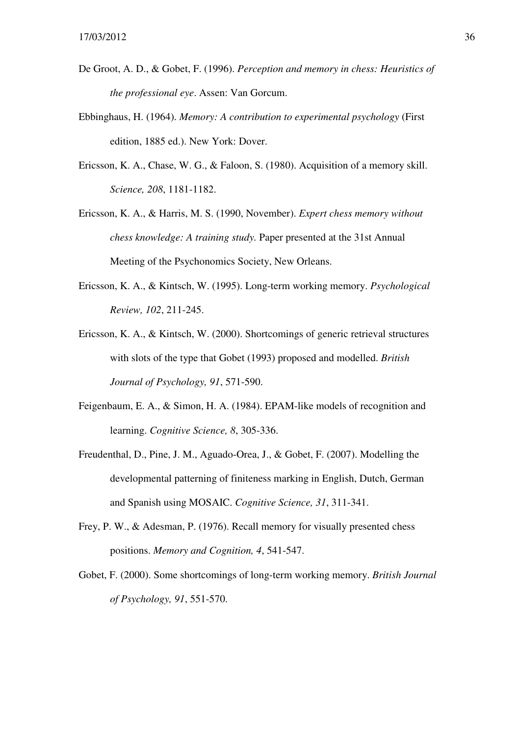- De Groot, A. D., & Gobet, F. (1996). *Perception and memory in chess: Heuristics of the professional eye*. Assen: Van Gorcum.
- Ebbinghaus, H. (1964). *Memory: A contribution to experimental psychology* (First edition, 1885 ed.). New York: Dover.
- Ericsson, K. A., Chase, W. G., & Faloon, S. (1980). Acquisition of a memory skill. *Science, 208*, 1181-1182.
- Ericsson, K. A., & Harris, M. S. (1990, November). *Expert chess memory without chess knowledge: A training study.* Paper presented at the 31st Annual Meeting of the Psychonomics Society, New Orleans.
- Ericsson, K. A., & Kintsch, W. (1995). Long-term working memory. *Psychological Review, 102*, 211-245.
- Ericsson, K. A., & Kintsch, W. (2000). Shortcomings of generic retrieval structures with slots of the type that Gobet (1993) proposed and modelled. *British Journal of Psychology, 91*, 571-590.
- Feigenbaum, E. A., & Simon, H. A. (1984). EPAM-like models of recognition and learning. *Cognitive Science, 8*, 305-336.
- Freudenthal, D., Pine, J. M., Aguado-Orea, J., & Gobet, F. (2007). Modelling the developmental patterning of finiteness marking in English, Dutch, German and Spanish using MOSAIC. *Cognitive Science, 31*, 311-341.
- Frey, P. W., & Adesman, P. (1976). Recall memory for visually presented chess positions. *Memory and Cognition, 4*, 541-547.
- Gobet, F. (2000). Some shortcomings of long-term working memory. *British Journal of Psychology, 91*, 551-570.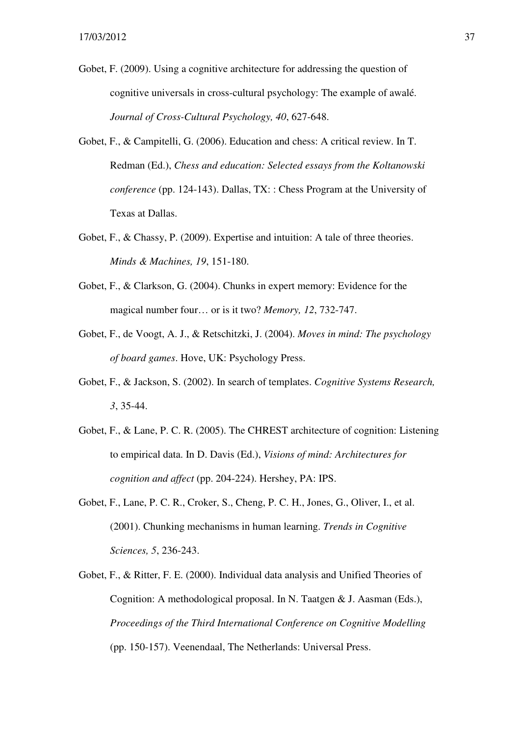- Gobet, F. (2009). Using a cognitive architecture for addressing the question of cognitive universals in cross-cultural psychology: The example of awalé. *Journal of Cross-Cultural Psychology, 40*, 627-648.
- Gobet, F., & Campitelli, G. (2006). Education and chess: A critical review. In T. Redman (Ed.), *Chess and education: Selected essays from the Koltanowski conference* (pp. 124-143). Dallas, TX: : Chess Program at the University of Texas at Dallas.
- Gobet, F., & Chassy, P. (2009). Expertise and intuition: A tale of three theories. *Minds & Machines, 19*, 151-180.
- Gobet, F., & Clarkson, G. (2004). Chunks in expert memory: Evidence for the magical number four… or is it two? *Memory, 12*, 732-747.
- Gobet, F., de Voogt, A. J., & Retschitzki, J. (2004). *Moves in mind: The psychology of board games*. Hove, UK: Psychology Press.
- Gobet, F., & Jackson, S. (2002). In search of templates. *Cognitive Systems Research, 3*, 35-44.
- Gobet, F., & Lane, P. C. R. (2005). The CHREST architecture of cognition: Listening to empirical data. In D. Davis (Ed.), *Visions of mind: Architectures for cognition and affect* (pp. 204-224). Hershey, PA: IPS.
- Gobet, F., Lane, P. C. R., Croker, S., Cheng, P. C. H., Jones, G., Oliver, I., et al. (2001). Chunking mechanisms in human learning. *Trends in Cognitive Sciences, 5*, 236-243.
- Gobet, F., & Ritter, F. E. (2000). Individual data analysis and Unified Theories of Cognition: A methodological proposal. In N. Taatgen & J. Aasman (Eds.), *Proceedings of the Third International Conference on Cognitive Modelling*  (pp. 150-157). Veenendaal, The Netherlands: Universal Press.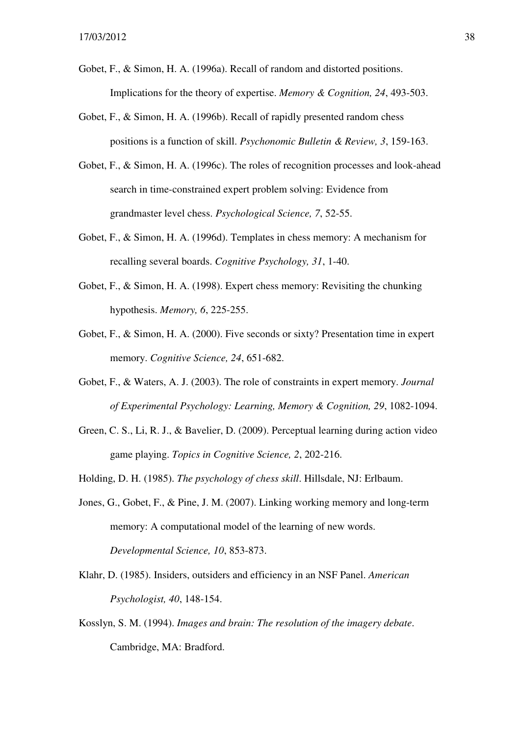- Gobet, F., & Simon, H. A. (1996a). Recall of random and distorted positions. Implications for the theory of expertise. *Memory & Cognition, 24*, 493-503.
- Gobet, F., & Simon, H. A. (1996b). Recall of rapidly presented random chess positions is a function of skill. *Psychonomic Bulletin & Review, 3*, 159-163.
- Gobet, F., & Simon, H. A. (1996c). The roles of recognition processes and look-ahead search in time-constrained expert problem solving: Evidence from grandmaster level chess. *Psychological Science, 7*, 52-55.
- Gobet, F., & Simon, H. A. (1996d). Templates in chess memory: A mechanism for recalling several boards. *Cognitive Psychology, 31*, 1-40.
- Gobet, F., & Simon, H. A. (1998). Expert chess memory: Revisiting the chunking hypothesis. *Memory, 6*, 225-255.
- Gobet, F., & Simon, H. A. (2000). Five seconds or sixty? Presentation time in expert memory. *Cognitive Science, 24*, 651-682.
- Gobet, F., & Waters, A. J. (2003). The role of constraints in expert memory. *Journal of Experimental Psychology: Learning, Memory & Cognition, 29*, 1082-1094.
- Green, C. S., Li, R. J., & Bavelier, D. (2009). Perceptual learning during action video game playing. *Topics in Cognitive Science, 2*, 202-216.
- Holding, D. H. (1985). *The psychology of chess skill*. Hillsdale, NJ: Erlbaum.
- Jones, G., Gobet, F., & Pine, J. M. (2007). Linking working memory and long-term memory: A computational model of the learning of new words. *Developmental Science, 10*, 853-873.
- Klahr, D. (1985). Insiders, outsiders and efficiency in an NSF Panel. *American Psychologist, 40*, 148-154.
- Kosslyn, S. M. (1994). *Images and brain: The resolution of the imagery debate*. Cambridge, MA: Bradford.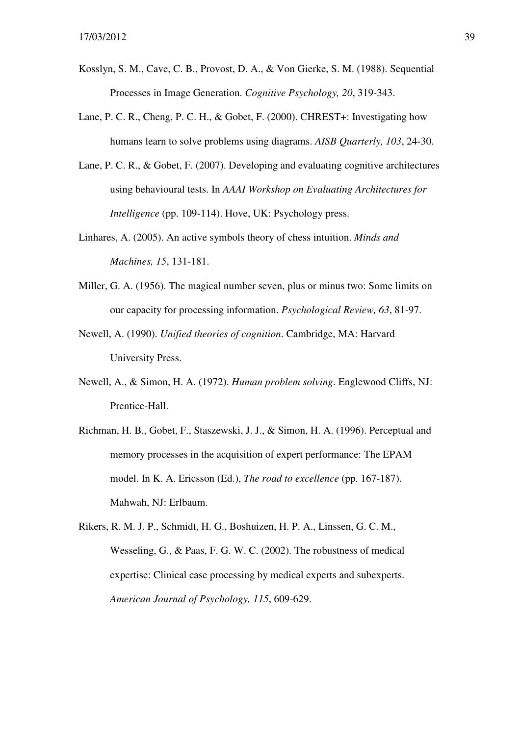- Kosslyn, S. M., Cave, C. B., Provost, D. A., & Von Gierke, S. M. (1988). Sequential Processes in Image Generation. *Cognitive Psychology, 20*, 319-343.
- Lane, P. C. R., Cheng, P. C. H., & Gobet, F. (2000). CHREST+: Investigating how humans learn to solve problems using diagrams. *AISB Quarterly, 103*, 24-30.
- Lane, P. C. R., & Gobet, F. (2007). Developing and evaluating cognitive architectures using behavioural tests. In *AAAI Workshop on Evaluating Architectures for Intelligence* (pp. 109-114). Hove, UK: Psychology press.
- Linhares, A. (2005). An active symbols theory of chess intuition. *Minds and Machines, 15*, 131-181.
- Miller, G. A. (1956). The magical number seven, plus or minus two: Some limits on our capacity for processing information. *Psychological Review, 63*, 81-97.
- Newell, A. (1990). *Unified theories of cognition*. Cambridge, MA: Harvard University Press.
- Newell, A., & Simon, H. A. (1972). *Human problem solving*. Englewood Cliffs, NJ: Prentice-Hall.
- Richman, H. B., Gobet, F., Staszewski, J. J., & Simon, H. A. (1996). Perceptual and memory processes in the acquisition of expert performance: The EPAM model. In K. A. Ericsson (Ed.), *The road to excellence* (pp. 167-187). Mahwah, NJ: Erlbaum.
- Rikers, R. M. J. P., Schmidt, H. G., Boshuizen, H. P. A., Linssen, G. C. M., Wesseling, G., & Paas, F. G. W. C. (2002). The robustness of medical expertise: Clinical case processing by medical experts and subexperts. *American Journal of Psychology, 115*, 609-629.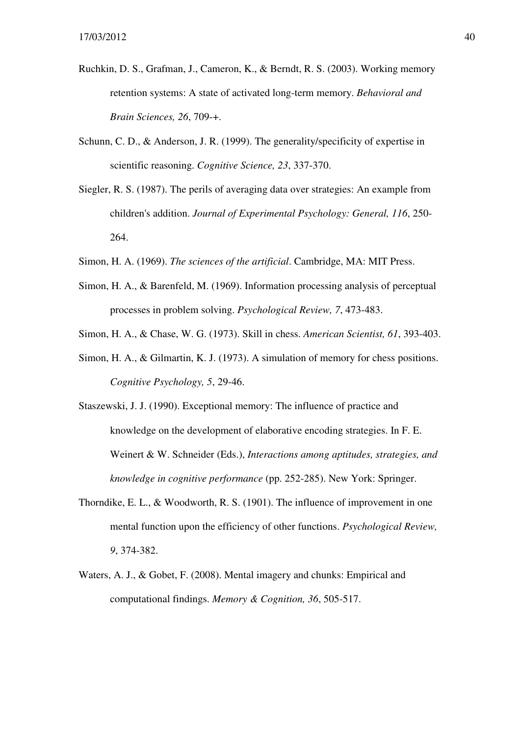- Ruchkin, D. S., Grafman, J., Cameron, K., & Berndt, R. S. (2003). Working memory retention systems: A state of activated long-term memory. *Behavioral and Brain Sciences, 26*, 709-+.
- Schunn, C. D., & Anderson, J. R. (1999). The generality/specificity of expertise in scientific reasoning. *Cognitive Science, 23*, 337-370.
- Siegler, R. S. (1987). The perils of averaging data over strategies: An example from children's addition. *Journal of Experimental Psychology: General, 116*, 250- 264.
- Simon, H. A. (1969). *The sciences of the artificial*. Cambridge, MA: MIT Press.
- Simon, H. A., & Barenfeld, M. (1969). Information processing analysis of perceptual processes in problem solving. *Psychological Review, 7*, 473-483.
- Simon, H. A., & Chase, W. G. (1973). Skill in chess. *American Scientist, 61*, 393-403.
- Simon, H. A., & Gilmartin, K. J. (1973). A simulation of memory for chess positions. *Cognitive Psychology, 5*, 29-46.
- Staszewski, J. J. (1990). Exceptional memory: The influence of practice and knowledge on the development of elaborative encoding strategies. In F. E. Weinert & W. Schneider (Eds.), *Interactions among aptitudes, strategies, and knowledge in cognitive performance* (pp. 252-285). New York: Springer.
- Thorndike, E. L., & Woodworth, R. S. (1901). The influence of improvement in one mental function upon the efficiency of other functions. *Psychological Review, 9*, 374-382.
- Waters, A. J., & Gobet, F. (2008). Mental imagery and chunks: Empirical and computational findings. *Memory & Cognition, 36*, 505-517.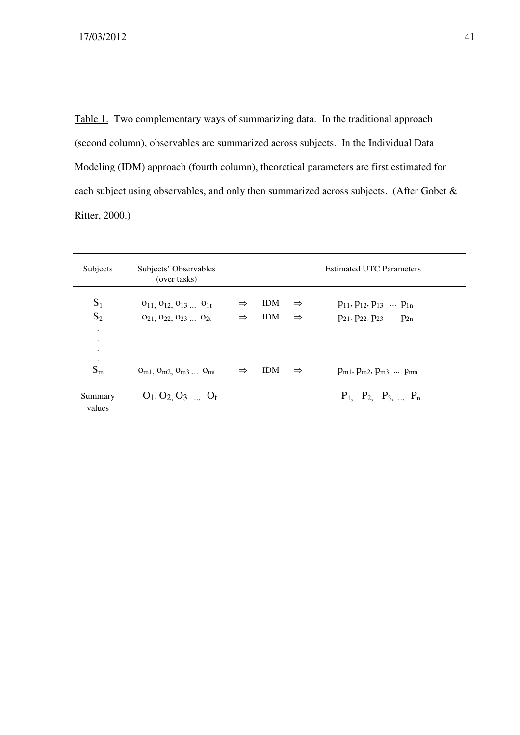Table 1. Two complementary ways of summarizing data. In the traditional approach (second column), observables are summarized across subjects. In the Individual Data Modeling (IDM) approach (fourth column), theoretical parameters are first estimated for each subject using observables, and only then summarized across subjects. (After Gobet & Ritter, 2000.)

| Subjects                                              | Subjects' Observables<br>(over tasks)                                              |                                |                          |                                | <b>Estimated UTC Parameters</b>                                                  |
|-------------------------------------------------------|------------------------------------------------------------------------------------|--------------------------------|--------------------------|--------------------------------|----------------------------------------------------------------------------------|
| $S_1$<br>$S_2$<br>$\bullet$<br>$\bullet$<br>$\bullet$ | $O_{11}$ , $O_{12}$ , $O_{13}$ $O_{1t}$<br>$O_{21}$ , $O_{22}$ , $O_{23}$ $O_{2t}$ | $\Rightarrow$<br>$\Rightarrow$ | <b>IDM</b><br><b>IDM</b> | $\Rightarrow$<br>$\Rightarrow$ | $p_{11}, p_{12}, p_{13} \dots p_{1n}$<br>$p_{21}$ , $p_{22}$ , $p_{23}$ $p_{2n}$ |
| $\bullet$<br>$S_{m}$                                  | $O_{m1}$ , $O_{m2}$ , $O_{m3}$ $O_{mt}$                                            | $\Rightarrow$                  | <b>IDM</b>               | $\Rightarrow$                  | $p_{m1}$ , $p_{m2}$ , $p_{m3}$ $p_{mn}$                                          |
| Summary<br>values                                     | $O_1$ , $O_2$ , $O_3$ $O_t$                                                        |                                |                          |                                | $P_1$ , $P_2$ , $P_3$ , $P_n$                                                    |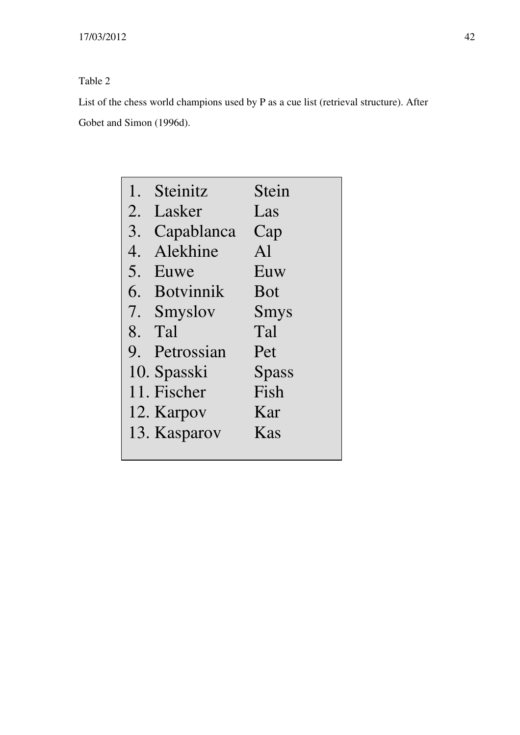## Table 2

List of the chess world champions used by P as a cue list (retrieval structure). After Gobet and Simon (1996d).

| 1. | Steinitz         | Stein          |
|----|------------------|----------------|
| 2. | Lasker           | Las            |
| 3. | Capablanca       | Cap            |
| 4. | Alekhine         | A <sup>1</sup> |
| 5. | Euwe             | Euw            |
| 6. | <b>Botvinnik</b> | <b>Bot</b>     |
| 7. | Smyslov          | Smys           |
|    | 8. Tal           | Tal            |
|    | 9. Petrossian    | Pet            |
|    | 10. Spasski      | Spass          |
|    | 11. Fischer      | Fish           |
|    | 12. Karpov       | Kar            |
|    | 13. Kasparov     | Kas            |
|    |                  |                |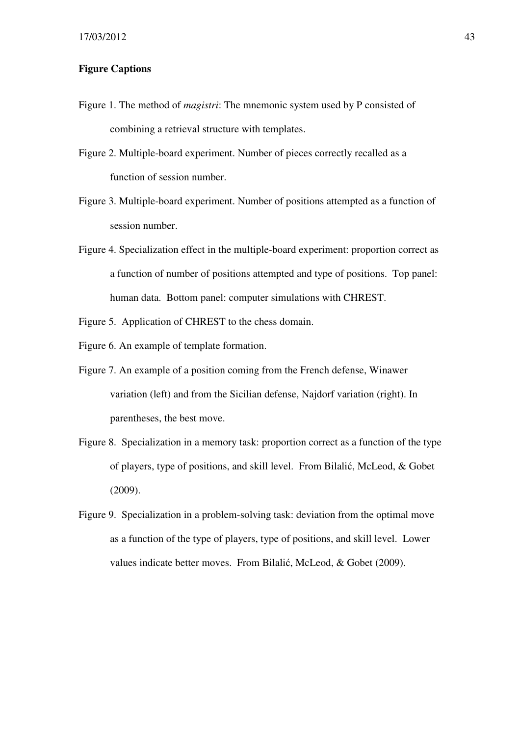#### **Figure Captions**

- Figure 1. The method of *magistri*: The mnemonic system used by P consisted of combining a retrieval structure with templates.
- Figure 2. Multiple-board experiment. Number of pieces correctly recalled as a function of session number.
- Figure 3. Multiple-board experiment. Number of positions attempted as a function of session number.
- Figure 4. Specialization effect in the multiple-board experiment: proportion correct as a function of number of positions attempted and type of positions. Top panel: human data. Bottom panel: computer simulations with CHREST.

Figure 5. Application of CHREST to the chess domain.

- Figure 6. An example of template formation.
- Figure 7. An example of a position coming from the French defense, Winawer variation (left) and from the Sicilian defense, Najdorf variation (right). In parentheses, the best move.
- Figure 8. Specialization in a memory task: proportion correct as a function of the type of players, type of positions, and skill level. From Bilalić, McLeod, & Gobet (2009).
- Figure 9. Specialization in a problem-solving task: deviation from the optimal move as a function of the type of players, type of positions, and skill level. Lower values indicate better moves. From Bilalić, McLeod, & Gobet (2009).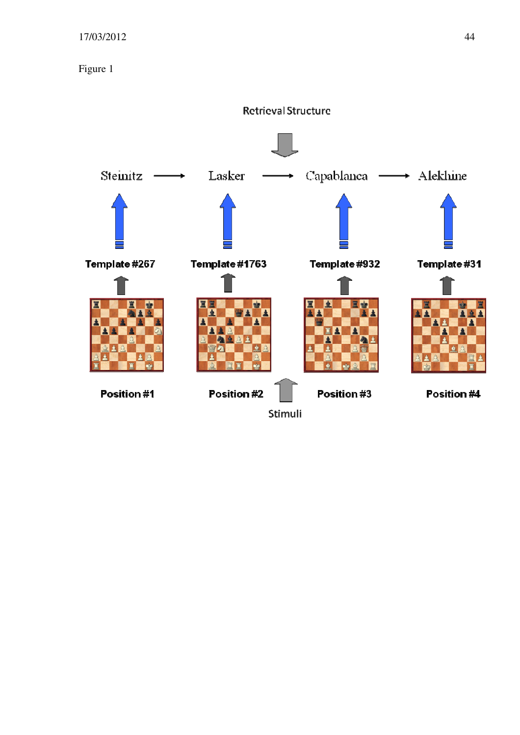Figure 1

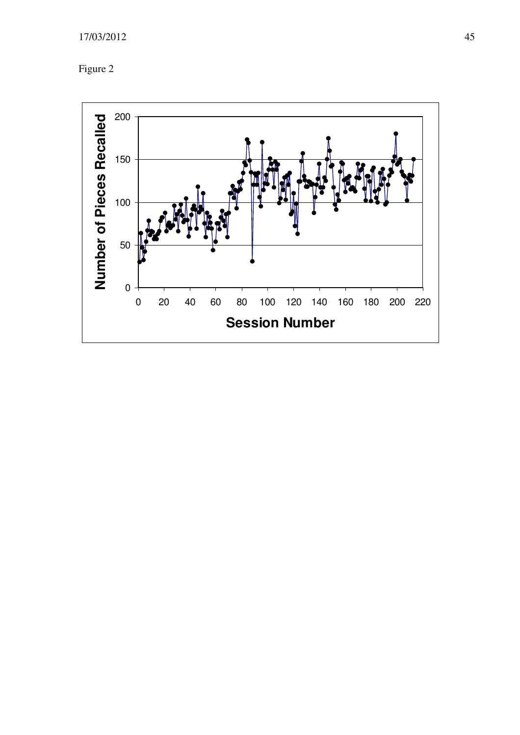

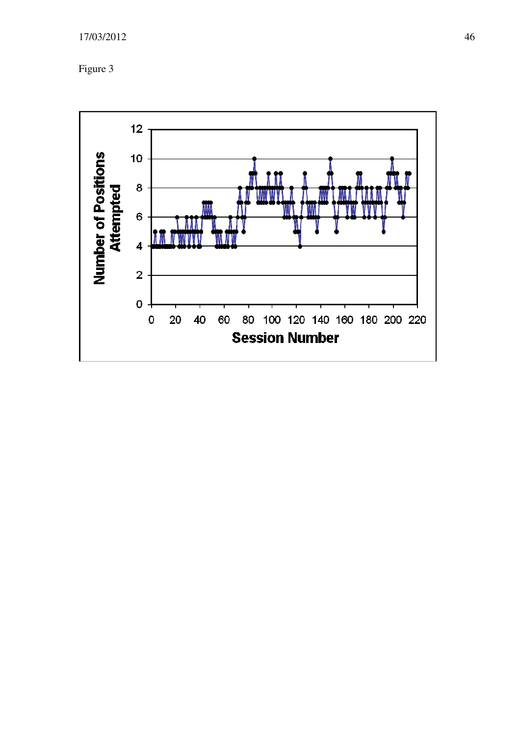

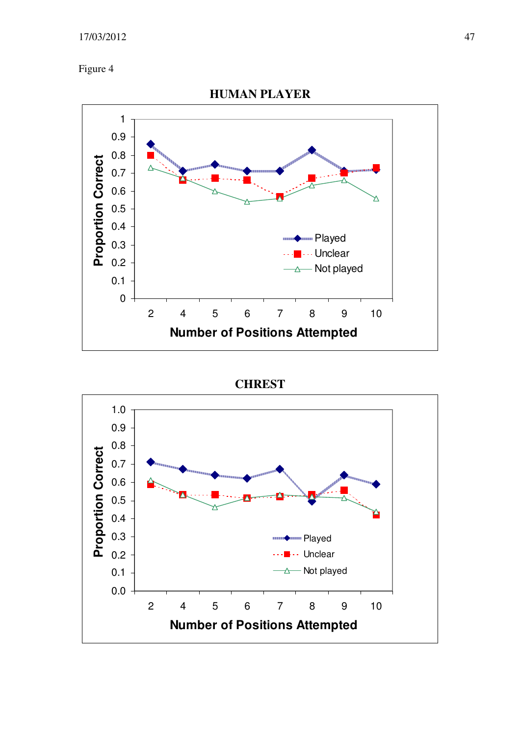#### 17/03/2012 47

Figure 4



#### **CHREST**

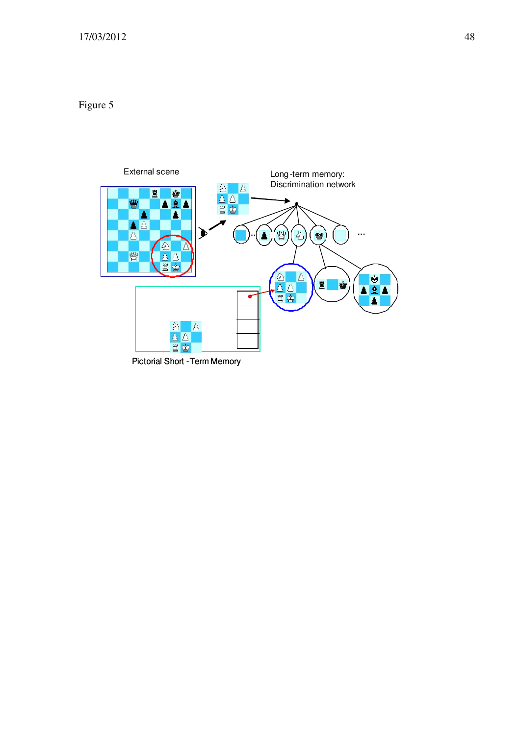## Figure 5



Pictorial Short -Term Memory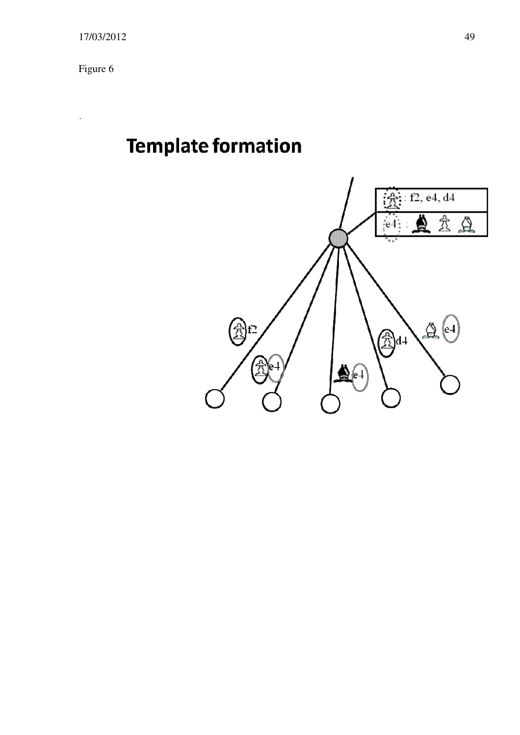Figure 6

l,

# **Template formation**

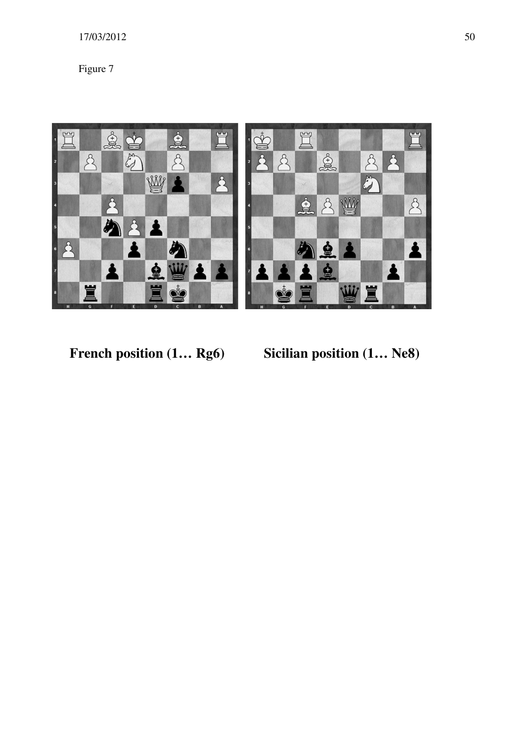## 17/03/2012 50

Figure 7



French position  $(1... Rg6)$  Sicilian position  $(1... Re8)$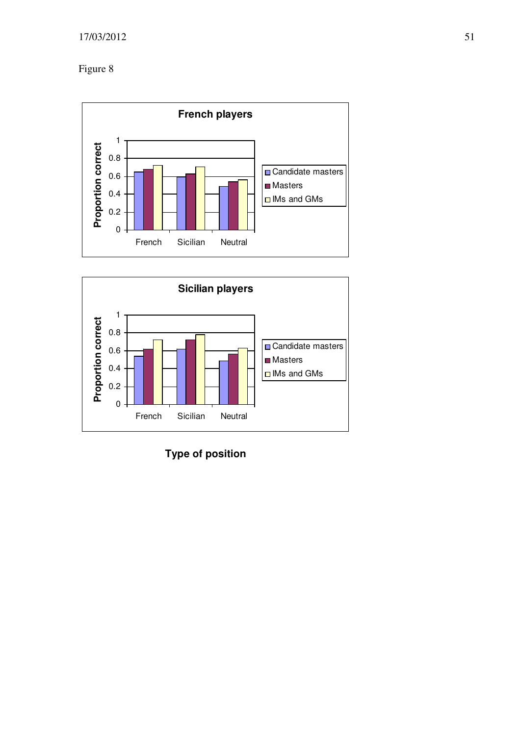Figure 8





**Type of position**